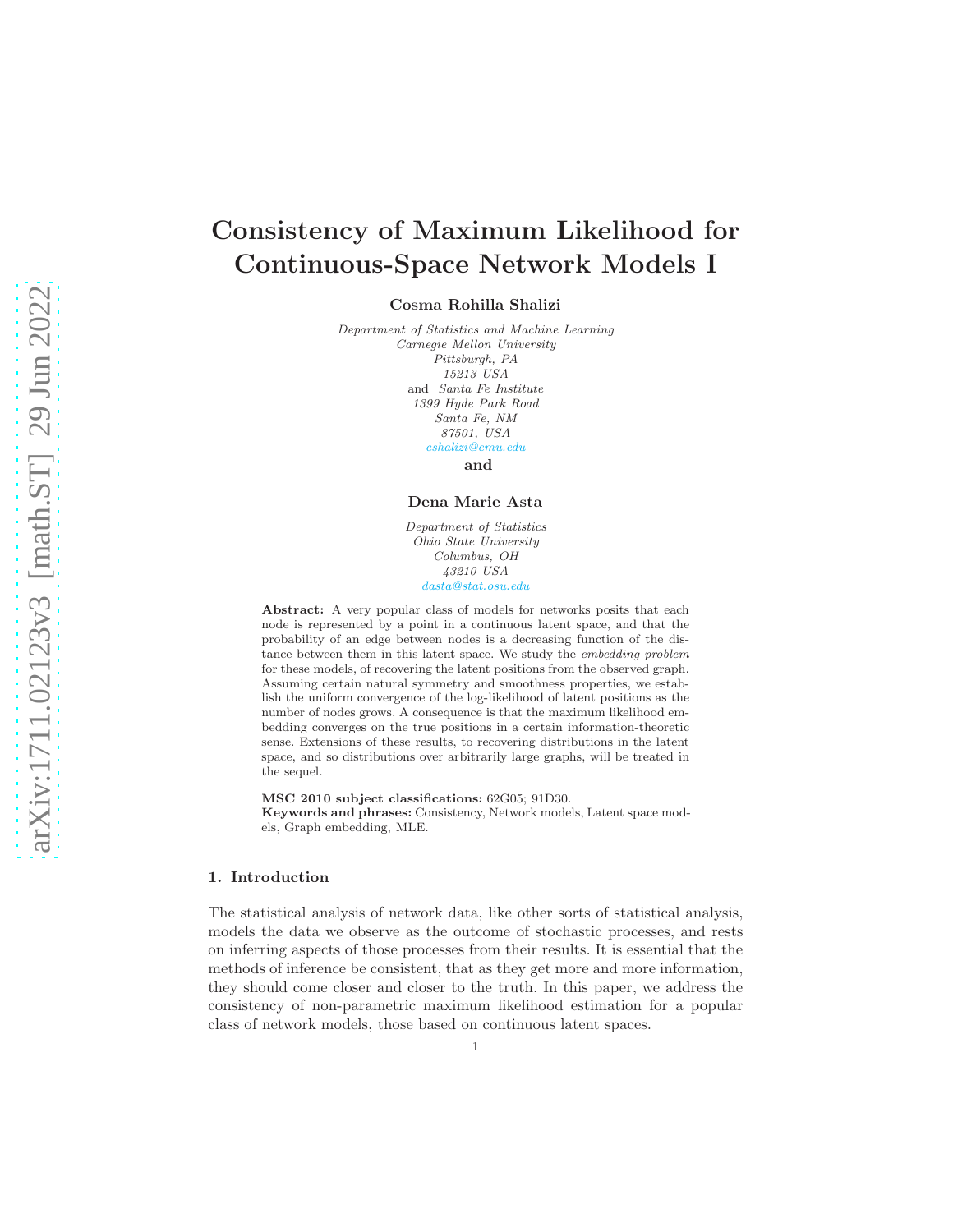# Consistency of Maximum Likelihood for Continuous-Space Network Models I

Cosma Rohilla Shalizi

Department of Statistics and Machine Learning Carnegie Mellon University Pittsburgh, PA 15213 USA and Santa Fe Institute 1399 Hyde Park Road Santa Fe, NM 87501, USA cshalizi@cmu.edu

and

## Dena Marie Asta

Department of Statistics Ohio State University Columbus, OH 43210 USA dasta@stat.osu.edu

Abstract: A very popular class of models for networks posits that each node is represented by a point in a continuous latent space, and that the probability of an edge between nodes is a decreasing function of the distance between them in this latent space. We study the embedding problem for these models, of recovering the latent positions from the observed graph. Assuming certain natural symmetry and smoothness properties, we establish the uniform convergence of the log-likelihood of latent positions as the number of nodes grows. A consequence is that the maximum likelihood embedding converges on the true positions in a certain information-theoretic sense. Extensions of these results, to recovering distributions in the latent space, and so distributions over arbitrarily large graphs, will be treated in the sequel.

MSC 2010 subject classifications: 62G05; 91D30. Keywords and phrases: Consistency, Network models, Latent space models, Graph embedding, MLE.

#### 1. Introduction

The statistical analysis of network data, like other sorts of statistical analysis, models the data we observe as the outcome of stochastic processes, and rests on inferring aspects of those processes from their results. It is essential that the methods of inference be consistent, that as they get more and more information, they should come closer and closer to the truth. In this paper, we address the consistency of non-parametric maximum likelihood estimation for a popular class of network models, those based on continuous latent spaces.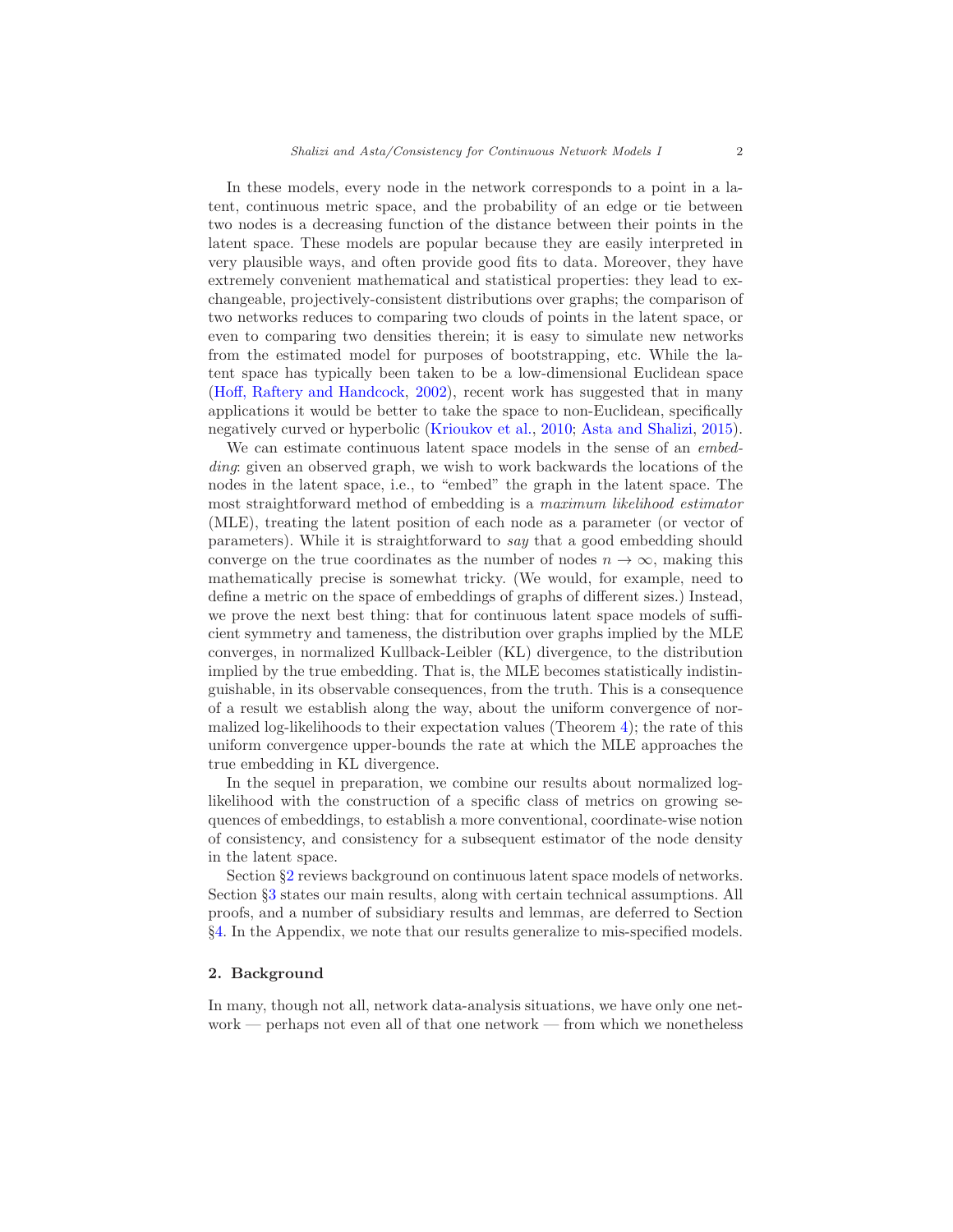In these models, every node in the network corresponds to a point in a latent, continuous metric space, and the probability of an edge or tie between two nodes is a decreasing function of the distance between their points in the latent space. These models are popular because they are easily interpreted in very plausible ways, and often provide good fits to data. Moreover, they have extremely convenient mathematical and statistical properties: they lead to exchangeable, projectively-consistent distributions over graphs; the comparison of two networks reduces to comparing two clouds of points in the latent space, or even to comparing two densities therein; it is easy to simulate new networks from the estimated model for purposes of bootstrapping, etc. While the latent space has typically been taken to be a low-dimensional Euclidean space [\(Hoff, Raftery and Handcock](#page-16-0), [2002](#page-16-0)), recent work has suggested that in many applications it would be better to take the space to non-Euclidean, specifically negatively curved or hyperbolic [\(Krioukov et al.](#page-16-1), [2010;](#page-16-1) [Asta and Shalizi](#page-15-0), [2015\)](#page-15-0).

We can estimate continuous latent space models in the sense of an embedding: given an observed graph, we wish to work backwards the locations of the nodes in the latent space, i.e., to "embed" the graph in the latent space. The most straightforward method of embedding is a maximum likelihood estimator (MLE), treating the latent position of each node as a parameter (or vector of parameters). While it is straightforward to say that a good embedding should converge on the true coordinates as the number of nodes  $n \to \infty$ , making this mathematically precise is somewhat tricky. (We would, for example, need to define a metric on the space of embeddings of graphs of different sizes.) Instead, we prove the next best thing: that for continuous latent space models of sufficient symmetry and tameness, the distribution over graphs implied by the MLE converges, in normalized Kullback-Leibler (KL) divergence, to the distribution implied by the true embedding. That is, the MLE becomes statistically indistinguishable, in its observable consequences, from the truth. This is a consequence of a result we establish along the way, about the uniform convergence of normalized log-likelihoods to their expectation values (Theorem [4\)](#page-7-0); the rate of this uniform convergence upper-bounds the rate at which the MLE approaches the true embedding in KL divergence.

In the sequel in preparation, we combine our results about normalized loglikelihood with the construction of a specific class of metrics on growing sequences of embeddings, to establish a more conventional, coordinate-wise notion of consistency, and consistency for a subsequent estimator of the node density in the latent space.

Section §[2](#page-1-0) reviews background on continuous latent space models of networks. Section §[3](#page-3-0) states our main results, along with certain technical assumptions. All proofs, and a number of subsidiary results and lemmas, are deferred to Section §[4.](#page-7-1) In the Appendix, we note that our results generalize to mis-specified models.

# <span id="page-1-0"></span>2. Background

In many, though not all, network data-analysis situations, we have only one network — perhaps not even all of that one network — from which we nonetheless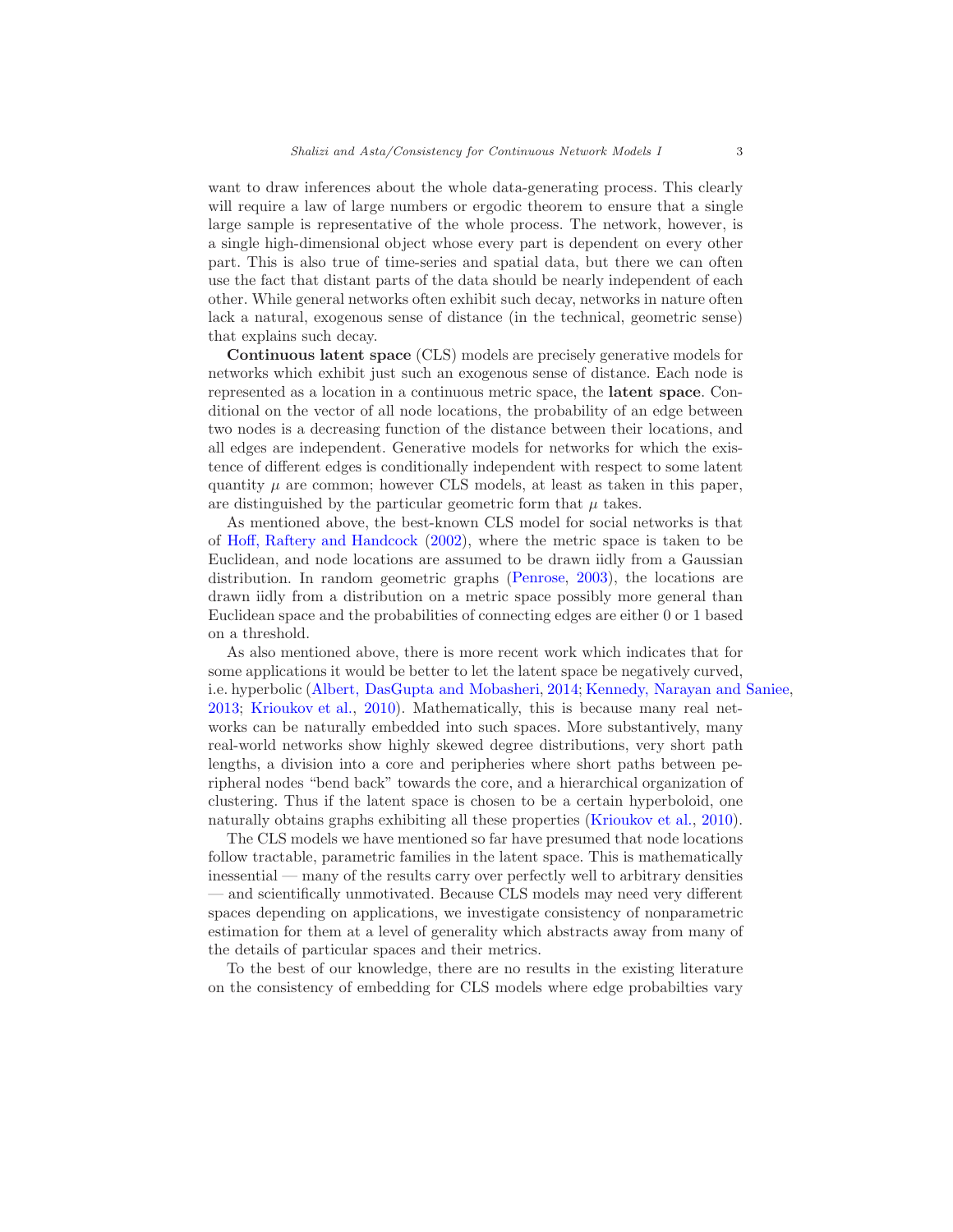want to draw inferences about the whole data-generating process. This clearly will require a law of large numbers or ergodic theorem to ensure that a single large sample is representative of the whole process. The network, however, is a single high-dimensional object whose every part is dependent on every other part. This is also true of time-series and spatial data, but there we can often use the fact that distant parts of the data should be nearly independent of each other. While general networks often exhibit such decay, networks in nature often lack a natural, exogenous sense of distance (in the technical, geometric sense) that explains such decay.

Continuous latent space (CLS) models are precisely generative models for networks which exhibit just such an exogenous sense of distance. Each node is represented as a location in a continuous metric space, the latent space. Conditional on the vector of all node locations, the probability of an edge between two nodes is a decreasing function of the distance between their locations, and all edges are independent. Generative models for networks for which the existence of different edges is conditionally independent with respect to some latent quantity  $\mu$  are common; however CLS models, at least as taken in this paper, are distinguished by the particular geometric form that  $\mu$  takes.

As mentioned above, the best-known CLS model for social networks is that of [Hoff, Raftery and Handcock](#page-16-0) [\(2002\)](#page-16-0), where the metric space is taken to be Euclidean, and node locations are assumed to be drawn iidly from a Gaussian distribution. In random geometric graphs [\(Penrose,](#page-16-2) [2003\)](#page-16-2), the locations are drawn iidly from a distribution on a metric space possibly more general than Euclidean space and the probabilities of connecting edges are either 0 or 1 based on a threshold.

As also mentioned above, there is more recent work which indicates that for some applications it would be better to let the latent space be negatively curved, i.e. hyperbolic [\(Albert, DasGupta and Mobasheri,](#page-15-1) [2014;](#page-15-1) [Kennedy, Narayan and Saniee](#page-16-3), [2013;](#page-16-3) [Krioukov et al.,](#page-16-1) [2010](#page-16-1)). Mathematically, this is because many real networks can be naturally embedded into such spaces. More substantively, many real-world networks show highly skewed degree distributions, very short path lengths, a division into a core and peripheries where short paths between peripheral nodes "bend back" towards the core, and a hierarchical organization of clustering. Thus if the latent space is chosen to be a certain hyperboloid, one naturally obtains graphs exhibiting all these properties [\(Krioukov et al.,](#page-16-1) [2010\)](#page-16-1).

The CLS models we have mentioned so far have presumed that node locations follow tractable, parametric families in the latent space. This is mathematically inessential — many of the results carry over perfectly well to arbitrary densities — and scientifically unmotivated. Because CLS models may need very different spaces depending on applications, we investigate consistency of nonparametric estimation for them at a level of generality which abstracts away from many of the details of particular spaces and their metrics.

To the best of our knowledge, there are no results in the existing literature on the consistency of embedding for CLS models where edge probabilties vary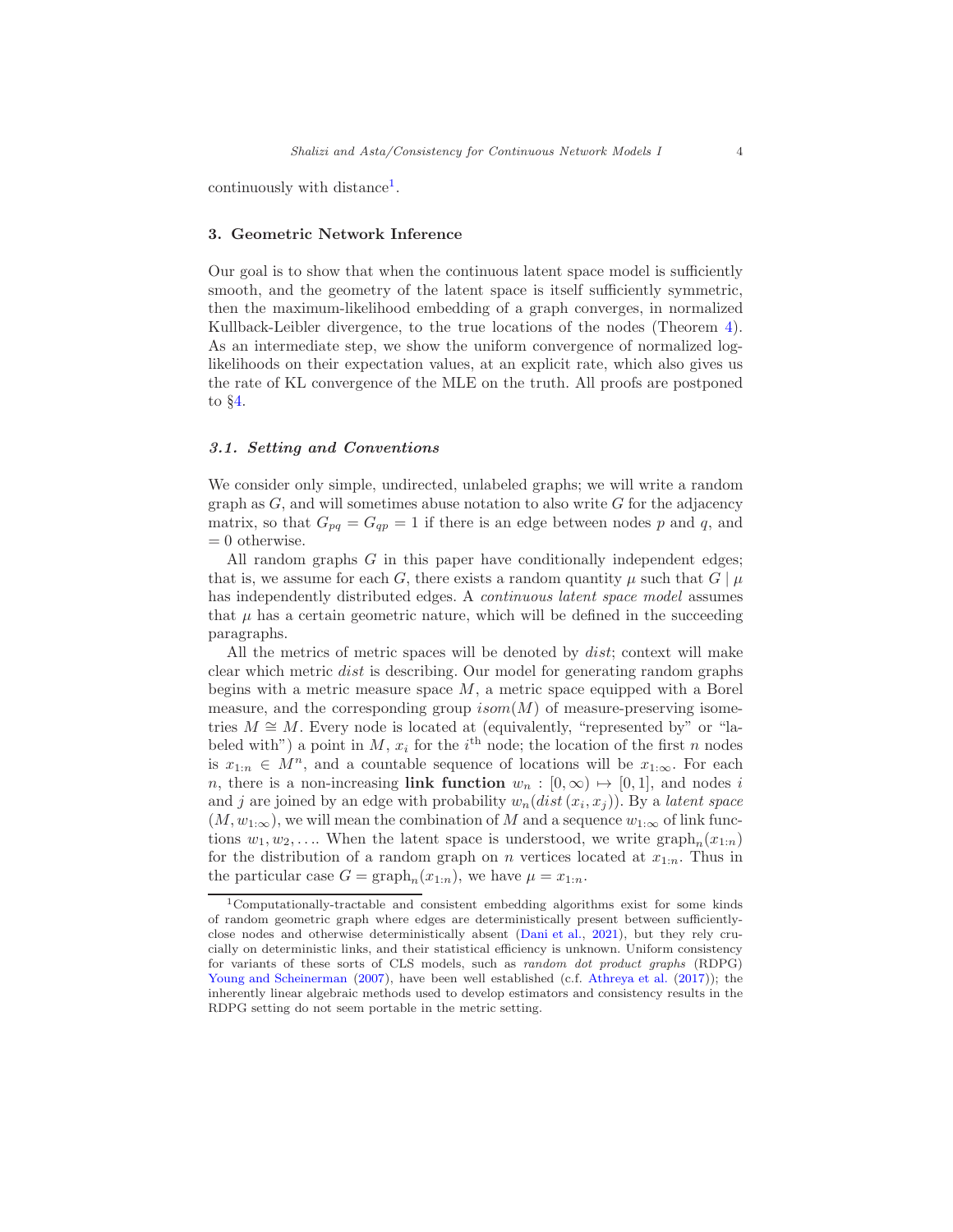continuously with distance<sup>[1](#page-3-1)</sup>.

## <span id="page-3-0"></span>3. Geometric Network Inference

Our goal is to show that when the continuous latent space model is sufficiently smooth, and the geometry of the latent space is itself sufficiently symmetric, then the maximum-likelihood embedding of a graph converges, in normalized Kullback-Leibler divergence, to the true locations of the nodes (Theorem [4\)](#page-7-0). As an intermediate step, we show the uniform convergence of normalized loglikelihoods on their expectation values, at an explicit rate, which also gives us the rate of KL convergence of the MLE on the truth. All proofs are postponed to §[4.](#page-7-1)

## 3.1. Setting and Conventions

We consider only simple, undirected, unlabeled graphs; we will write a random graph as  $G$ , and will sometimes abuse notation to also write  $G$  for the adjacency matrix, so that  $G_{pq} = G_{qp} = 1$  if there is an edge between nodes p and q, and  $= 0$  otherwise.

All random graphs  $G$  in this paper have conditionally independent edges; that is, we assume for each G, there exists a random quantity  $\mu$  such that  $G | \mu$ has independently distributed edges. A continuous latent space model assumes that  $\mu$  has a certain geometric nature, which will be defined in the succeeding paragraphs.

All the metrics of metric spaces will be denoted by *dist*; context will make clear which metric dist is describing. Our model for generating random graphs begins with a metric measure space  $M$ , a metric space equipped with a Borel measure, and the corresponding group  $isom(M)$  of measure-preserving isometries  $M \cong M$ . Every node is located at (equivalently, "represented by" or "labeled with") a point in M,  $x_i$  for the i<sup>th</sup> node; the location of the first n nodes is  $x_{1:n} \in M^n$ , and a countable sequence of locations will be  $x_{1:\infty}$ . For each n, there is a non-increasing link function  $w_n : [0, \infty) \mapsto [0, 1]$ , and nodes i and j are joined by an edge with probability  $w_n(dist(x_i, x_j))$ . By a *latent space*  $(M, w_{1:\infty})$ , we will mean the combination of M and a sequence  $w_{1:\infty}$  of link functions  $w_1, w_2, \ldots$  When the latent space is understood, we write  $\text{graph}_n(x_{1:n})$ for the distribution of a random graph on n vertices located at  $x_{1:n}$ . Thus in the particular case  $G = \text{graph}_n(x_{1:n})$ , we have  $\mu = x_{1:n}$ .

<span id="page-3-1"></span><sup>1</sup>Computationally-tractable and consistent embedding algorithms exist for some kinds of random geometric graph where edges are deterministically present between sufficientlyclose nodes and otherwise deterministically absent [\(Dani et al.](#page-15-2), [2021](#page-15-2)), but they rely crucially on deterministic links, and their statistical efficiency is unknown. Uniform consistency for variants of these sorts of CLS models, such as random dot product graphs (RDPG) [Young and Scheinerman](#page-16-4) [\(2007](#page-16-4)), have been well established (c.f. [Athreya et al.](#page-15-3) [\(2017](#page-15-3))); the inherently linear algebraic methods used to develop estimators and consistency results in the RDPG setting do not seem portable in the metric setting.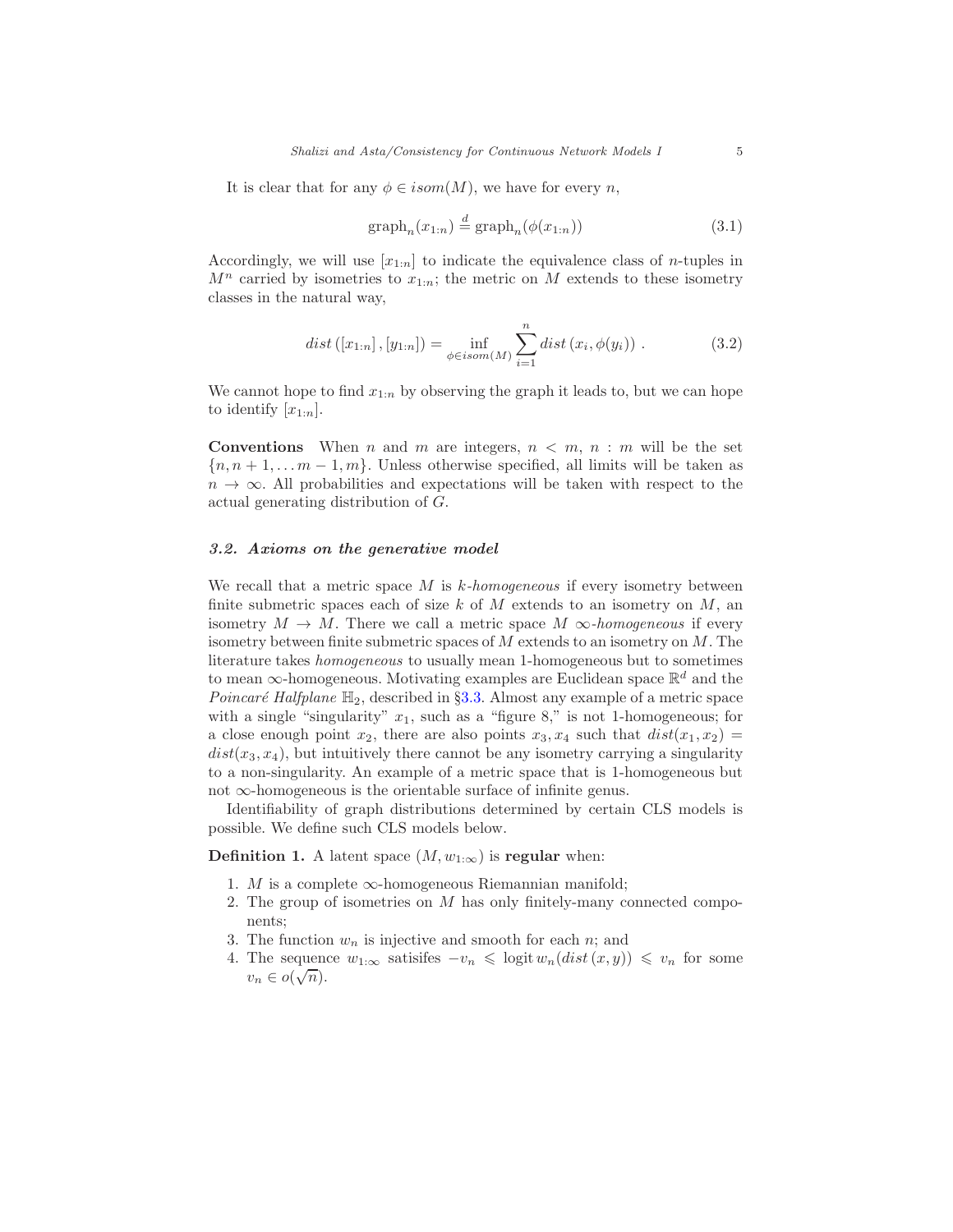It is clear that for any  $\phi \in isom(M)$ , we have for every n,

$$
\text{graph}_n(x_{1:n}) \stackrel{d}{=} \text{graph}_n(\phi(x_{1:n}))\tag{3.1}
$$

Accordingly, we will use  $[x_{1:n}]$  to indicate the equivalence class of *n*-tuples in  $M^n$  carried by isometries to  $x_{1:n}$ ; the metric on M extends to these isometry classes in the natural way,

$$
dist([x_{1:n}], [y_{1:n}]) = \inf_{\phi \in isom(M)} \sum_{i=1}^{n} dist(x_i, \phi(y_i)) .
$$
 (3.2)

We cannot hope to find  $x_{1:n}$  by observing the graph it leads to, but we can hope to identify  $[x_{1:n}].$ 

**Conventions** When n and m are integers,  $n \leq m, n : m$  will be the set  ${n, n+1,..., m-1, m}$ . Unless otherwise specified, all limits will be taken as  $n \to \infty$ . All probabilities and expectations will be taken with respect to the actual generating distribution of G.

#### 3.2. Axioms on the generative model

We recall that a metric space M is  $k$ -homogeneous if every isometry between finite submetric spaces each of size  $k$  of  $M$  extends to an isometry on  $M$ , an isometry  $M \to M$ . There we call a metric space  $M \infty$ -homogeneous if every isometry between finite submetric spaces of M extends to an isometry on M. The literature takes homogeneous to usually mean 1-homogeneous but to sometimes to mean  $\infty$ -homogeneous. Motivating examples are Euclidean space  $\mathbb{R}^d$  and the *Poincaré Halfplane*  $\mathbb{H}_2$ , described in §[3.3.](#page-5-0) Almost any example of a metric space with a single "singularity"  $x_1$ , such as a "figure 8," is not 1-homogeneous; for a close enough point  $x_2$ , there are also points  $x_3, x_4$  such that  $dist(x_1, x_2) =$  $dist(x_3, x_4)$ , but intuitively there cannot be any isometry carrying a singularity to a non-singularity. An example of a metric space that is 1-homogeneous but not ∞-homogeneous is the orientable surface of infinite genus.

Identifiability of graph distributions determined by certain CLS models is possible. We define such CLS models below.

**Definition 1.** A latent space  $(M, w_{1:\infty})$  is regular when:

- 1. M is a complete  $\infty$ -homogeneous Riemannian manifold;
- 2. The group of isometries on M has only finitely-many connected components;
- <span id="page-4-0"></span>3. The function  $w_n$  is injective and smooth for each n; and
- 4. The sequence  $w_{1:\infty}$  satisifes  $-v_n \leq \log \mathrm{i} t w_n(\mathrm{dist}(x, y)) \leq v_n$  for some  $v_n \in o(\sqrt{n}).$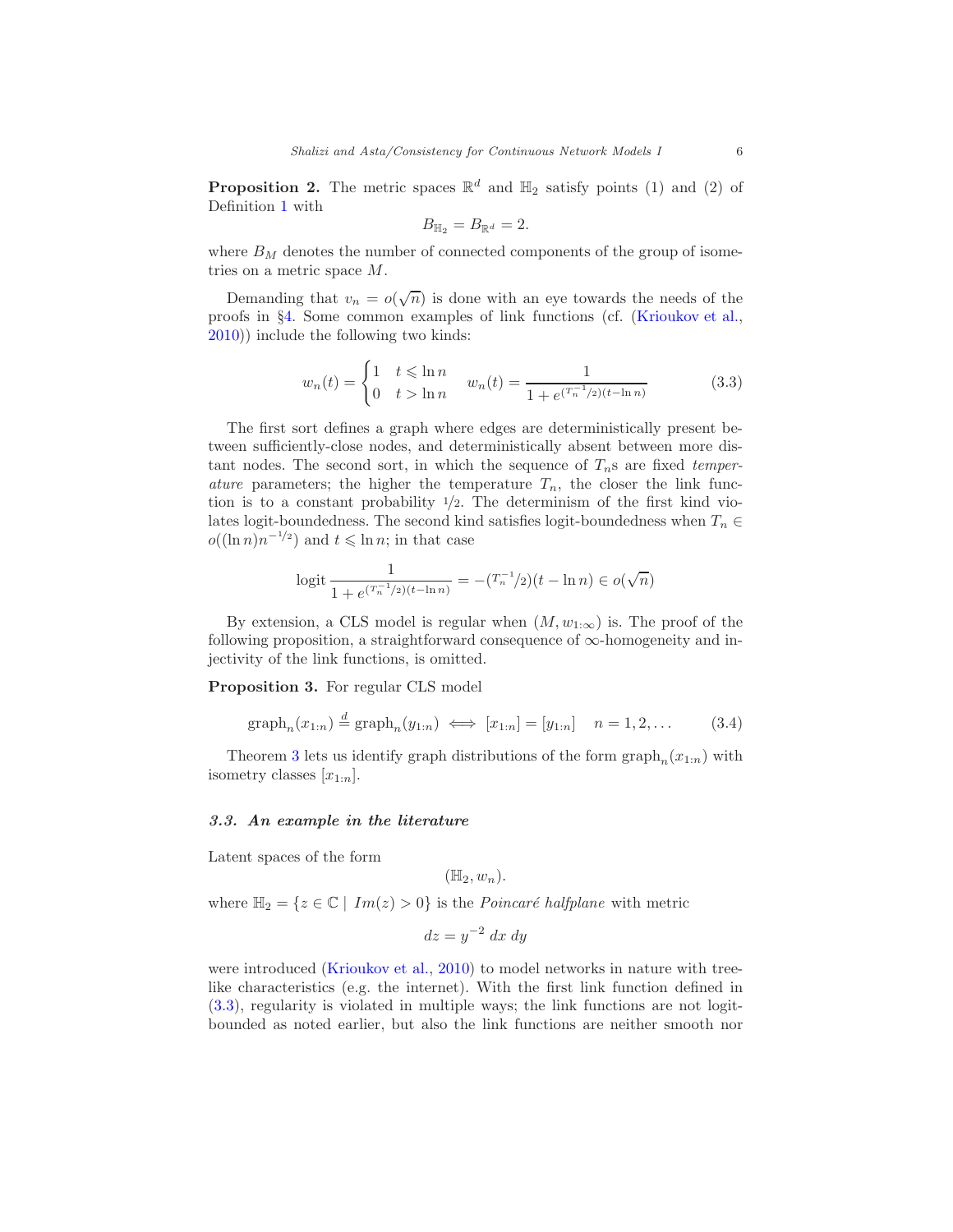<span id="page-5-3"></span>**Proposition 2.** The metric spaces  $\mathbb{R}^d$  and  $\mathbb{H}_2$  satisfy points (1) and (2) of Definition [1](#page-4-0) with

<span id="page-5-2"></span>
$$
B_{\mathbb{H}_2}=B_{\mathbb{R}^d}=2.
$$

where  $B_M$  denotes the number of connected components of the group of isometries on a metric space M.

Demanding that  $v_n = o(\sqrt{n})$  is done with an eye towards the needs of the proofs in §[4.](#page-7-1) Some common examples of link functions (cf. [\(Krioukov et al.,](#page-16-1) [2010\)](#page-16-1)) include the following two kinds:

$$
w_n(t) = \begin{cases} 1 & t \le \ln n \\ 0 & t > \ln n \end{cases} \quad w_n(t) = \frac{1}{1 + e^{(T_n^{-1}/2)(t - \ln n)}}\tag{3.3}
$$

The first sort defines a graph where edges are deterministically present between sufficiently-close nodes, and deterministically absent between more distant nodes. The second sort, in which the sequence of  $T_n$ s are fixed temper*ature* parameters; the higher the temperature  $T_n$ , the closer the link function is to a constant probability  $\frac{1}{2}$ . The determinism of the first kind violates logit-boundedness. The second kind satisfies logit-boundedness when  $T_n \in$  $o((\ln n)n^{-1/2})$  and  $t \leq \ln n$ ; in that case

logit 
$$
\frac{1}{1 + e^{(T_n^{-1}/2)(t - \ln n)}} = -(T_n^{-1}/2)(t - \ln n) \in o(\sqrt{n})
$$

By extension, a CLS model is regular when  $(M, w_{1:\infty})$  is. The proof of the following proposition, a straightforward consequence of  $\infty$ -homogeneity and injectivity of the link functions, is omitted.

<span id="page-5-1"></span>Proposition 3. For regular CLS model

$$
\text{graph}_n(x_{1:n}) \stackrel{d}{=} \text{graph}_n(y_{1:n}) \iff [x_{1:n}] = [y_{1:n}] \quad n = 1, 2, \dots \tag{3.4}
$$

Theorem [3](#page-5-1) lets us identify graph distributions of the form  $\text{graph}_n(x_{1:n})$  with isometry classes  $[x_{1:n}].$ 

# <span id="page-5-0"></span>3.3. An example in the literature

Latent spaces of the form

 $(\mathbb{H}_2, w_n)$ .

where  $\mathbb{H}_2 = \{z \in \mathbb{C} \mid Im(z) > 0\}$  is the *Poincaré halfplane* with metric

$$
dz = y^{-2} dx dy
$$

were introduced [\(Krioukov et al.,](#page-16-1) [2010\)](#page-16-1) to model networks in nature with treelike characteristics (e.g. the internet). With the first link function defined in [\(3.3\)](#page-5-2), regularity is violated in multiple ways; the link functions are not logitbounded as noted earlier, but also the link functions are neither smooth nor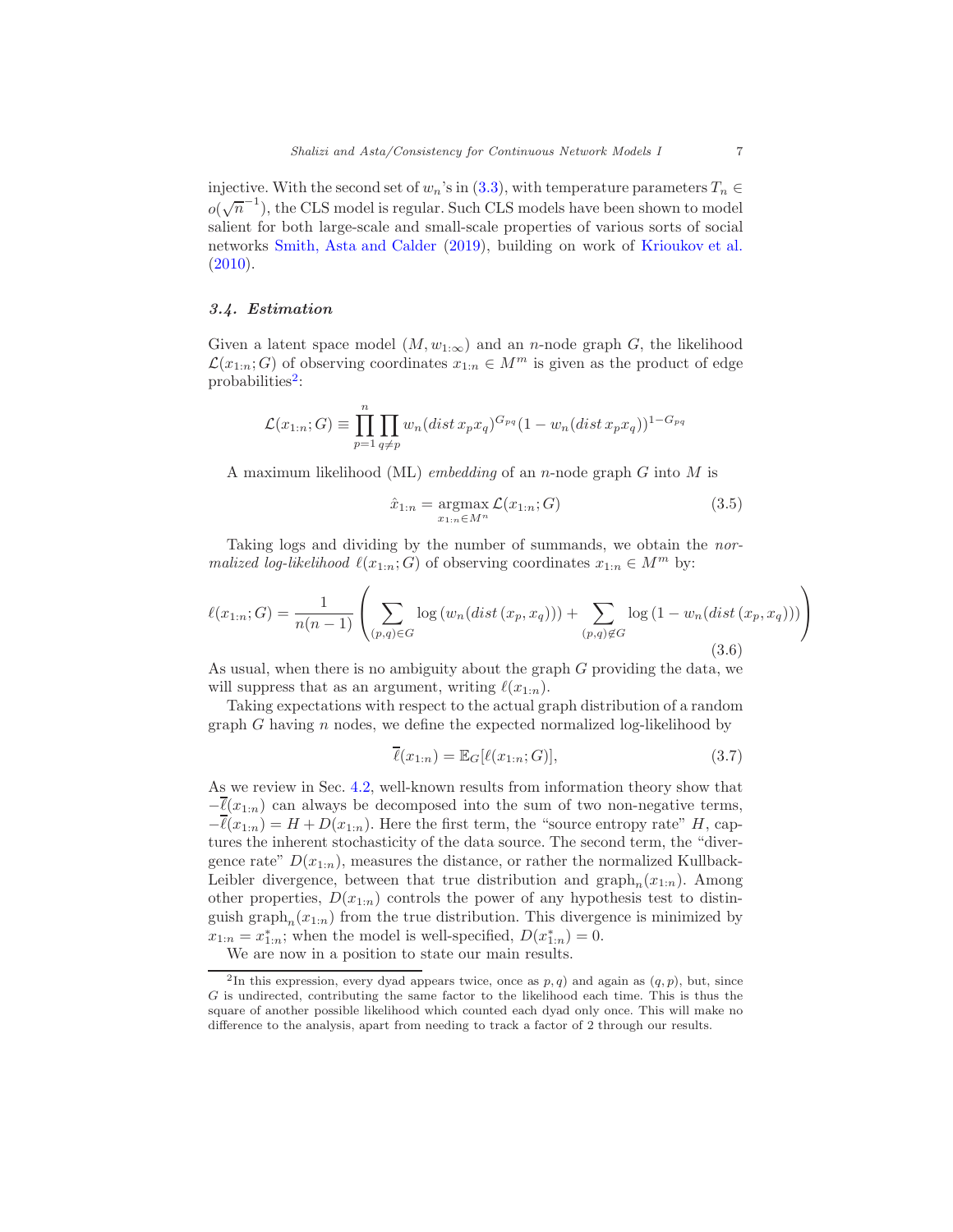injective. With the second set of  $w_n$ 's in [\(3.3\)](#page-5-2), with temperature parameters  $T_n \in$  $o(\sqrt{n}^{-1})$ , the CLS model is regular. Such CLS models have been shown to model salient for both large-scale and small-scale properties of various sorts of social networks [Smith, Asta and Calder](#page-16-5) [\(2019\)](#page-16-5), building on work of [Krioukov et al.](#page-16-1)  $(2010).$  $(2010).$ 

# 3.4. Estimation

Given a latent space model  $(M, w_{1:\infty})$  and an n-node graph G, the likelihood  $\mathcal{L}(x_{1:n}; G)$  of observing coordinates  $x_{1:n} \in M^m$  is given as the product of edge probabilities<sup>[2](#page-6-0)</sup>:

$$
\mathcal{L}(x_{1:n};G) \equiv \prod_{p=1}^{n} \prod_{q \neq p} w_n (dist \, x_p x_q)^{G_{pq}} (1 - w_n (dist \, x_p x_q))^{1 - G_{pq}}
$$

A maximum likelihood (ML) *embedding* of an *n*-node graph  $G$  into  $M$  is

<span id="page-6-1"></span>
$$
\hat{x}_{1:n} = \underset{x_{1:n} \in M^n}{\text{argmax}} \mathcal{L}(x_{1:n}; G) \tag{3.5}
$$

Taking logs and dividing by the number of summands, we obtain the normalized log-likelihood  $\ell(x_{1:n}; G)$  of observing coordinates  $x_{1:n} \in M^m$  by:

$$
\ell(x_{1:n};G) = \frac{1}{n(n-1)} \left( \sum_{(p,q)\in G} \log (w_n(dist(x_p, x_q))) + \sum_{(p,q)\notin G} \log (1 - w_n(dist(x_p, x_q))) \right)
$$
\n(3.6)

As usual, when there is no ambiguity about the graph G providing the data, we will suppress that as an argument, writing  $\ell(x_{1:n})$ .

Taking expectations with respect to the actual graph distribution of a random graph  $G$  having  $n$  nodes, we define the expected normalized log-likelihood by

$$
\overline{\ell}(x_{1:n}) = \mathbb{E}_G[\ell(x_{1:n}; G)],\tag{3.7}
$$

As we review in Sec. [4.2,](#page-8-0) well-known results from information theory show that  $-\overline{\ell}(x_{1:n})$  can always be decomposed into the sum of two non-negative terms,  $-\overline{\ell}(x_{1:n}) = H + D(x_{1:n}).$  Here the first term, the "source entropy rate" H, captures the inherent stochasticity of the data source. The second term, the "divergence rate"  $D(x_{1:n})$ , measures the distance, or rather the normalized Kullback-Leibler divergence, between that true distribution and  $\text{graph}_n(x_{1:n})$ . Among other properties,  $D(x_{1:n})$  controls the power of any hypothesis test to distinguish graph<sub>n</sub> $(x_{1:n})$  from the true distribution. This divergence is minimized by  $x_{1:n} = x_{1:n}^*$ ; when the model is well-specified,  $D(x_{1:n}^*) = 0$ .

We are now in a position to state our main results.

<span id="page-6-0"></span><sup>&</sup>lt;sup>2</sup>In this expression, every dyad appears twice, once as  $p, q$ ) and again as  $(q, p)$ , but, since G is undirected, contributing the same factor to the likelihood each time. This is thus the square of another possible likelihood which counted each dyad only once. This will make no difference to the analysis, apart from needing to track a factor of 2 through our results.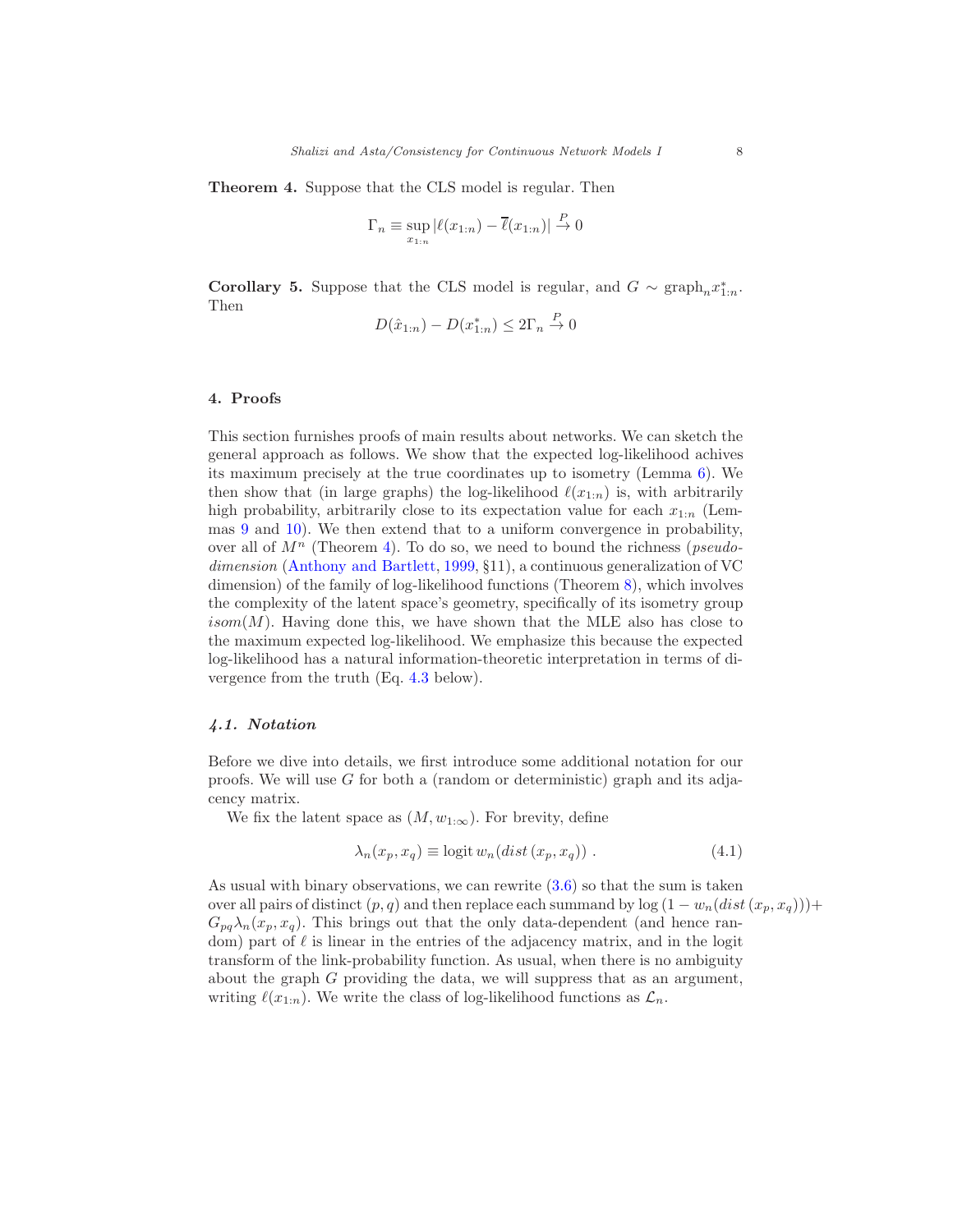<span id="page-7-0"></span>Theorem 4. Suppose that the CLS model is regular. Then

$$
\Gamma_n \equiv \sup_{x_{1:n}} |\ell(x_{1:n}) - \overline{\ell}(x_{1:n})| \stackrel{P}{\to} 0
$$

<span id="page-7-2"></span>**Corollary 5.** Suppose that the CLS model is regular, and  $G \sim \text{graph}_n x_{1:n}^*$ . Then

$$
D(\hat{x}_{1:n}) - D(x_{1:n}^*) \le 2\Gamma_n \stackrel{P}{\to} 0
$$

## <span id="page-7-1"></span>4. Proofs

This section furnishes proofs of main results about networks. We can sketch the general approach as follows. We show that the expected log-likelihood achives its maximum precisely at the true coordinates up to isometry (Lemma [6\)](#page-8-1). We then show that (in large graphs) the log-likelihood  $\ell(x_{1:n})$  is, with arbitrarily high probability, arbitrarily close to its expectation value for each  $x_{1:n}$  (Lemmas [9](#page-11-0) and [10\)](#page-11-1). We then extend that to a uniform convergence in probability, over all of  $M^n$  (Theorem [4\)](#page-7-0). To do so, we need to bound the richness (*pseudo*-dimension [\(Anthony and Bartlett](#page-15-4), [1999](#page-15-4), §11), a continuous generalization of VC dimension) of the family of log-likelihood functions (Theorem [8\)](#page-10-0), which involves the complexity of the latent space's geometry, specifically of its isometry group  $isom(M)$ . Having done this, we have shown that the MLE also has close to the maximum expected log-likelihood. We emphasize this because the expected log-likelihood has a natural information-theoretic interpretation in terms of divergence from the truth (Eq. [4.3](#page-8-2) below).

#### 4.1. Notation

Before we dive into details, we first introduce some additional notation for our proofs. We will use  $G$  for both a (random or deterministic) graph and its adjacency matrix.

We fix the latent space as  $(M, w_{1:\infty})$ . For brevity, define

$$
\lambda_n(x_p, x_q) \equiv \text{logit} \, w_n(\text{dist} \, (x_p, x_q)) \,. \tag{4.1}
$$

As usual with binary observations, we can rewrite [\(3.6\)](#page-6-1) so that the sum is taken over all pairs of distinct  $(p, q)$  and then replace each summand by log  $(1 - w_n(dist(x_n, x_q)))$ +  $G_{pq}\lambda_n(x_p, x_q)$ . This brings out that the only data-dependent (and hence random) part of  $\ell$  is linear in the entries of the adjacency matrix, and in the logit transform of the link-probability function. As usual, when there is no ambiguity about the graph G providing the data, we will suppress that as an argument, writing  $\ell(x_{1:n})$ . We write the class of log-likelihood functions as  $\mathcal{L}_n$ .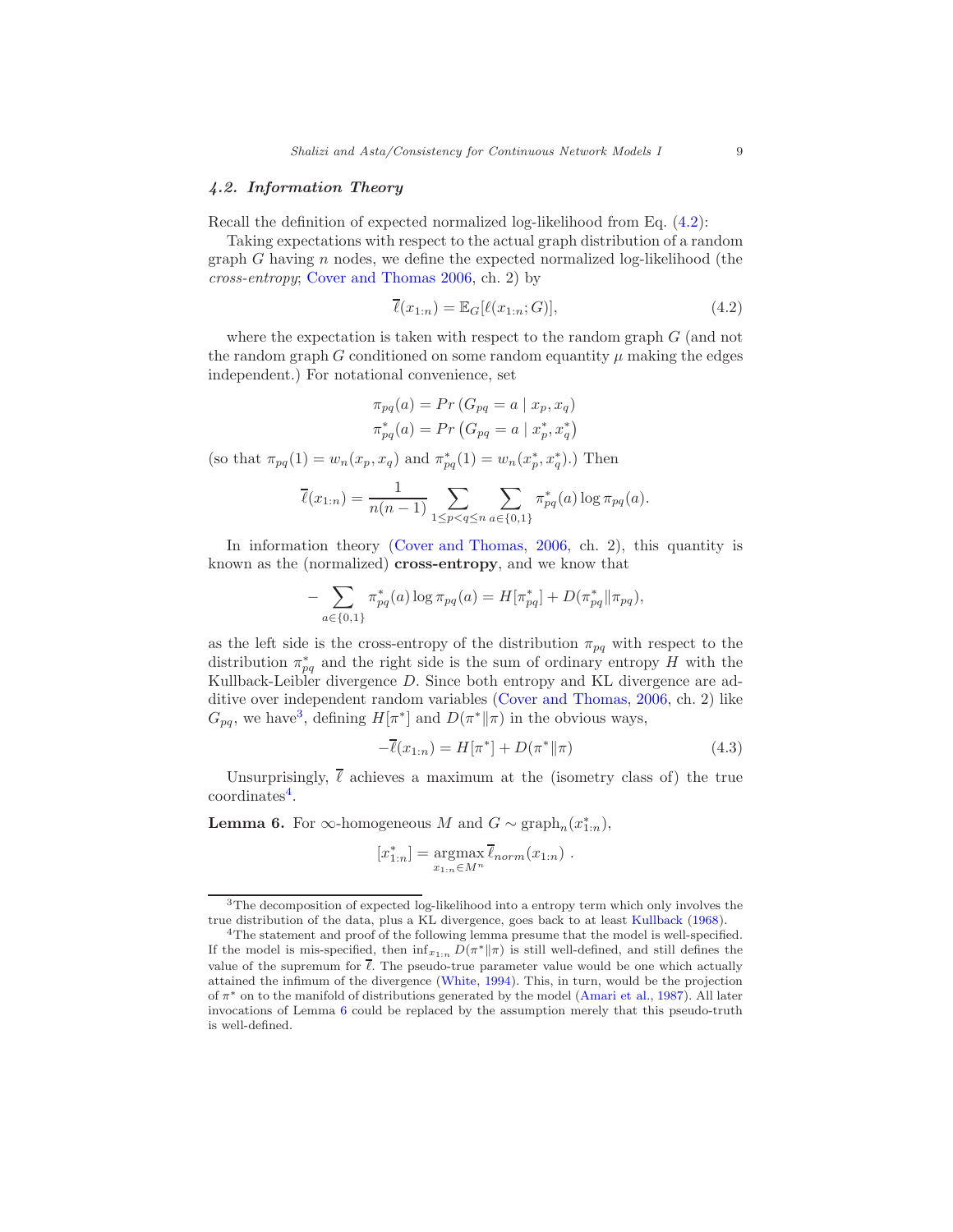## <span id="page-8-0"></span>4.2. Information Theory

Recall the definition of expected normalized log-likelihood from Eq. [\(4.2\)](#page-8-3):

Taking expectations with respect to the actual graph distribution of a random graph G having  $n$  nodes, we define the expected normalized log-likelihood (the cross-entropy; [Cover and Thomas 2006](#page-15-5), ch. 2) by

<span id="page-8-3"></span>
$$
\overline{\ell}(x_{1:n}) = \mathbb{E}_G[\ell(x_{1:n}; G)],\tag{4.2}
$$

where the expectation is taken with respect to the random graph  $G$  (and not the random graph G conditioned on some random equantity  $\mu$  making the edges independent.) For notational convenience, set

$$
\pi_{pq}(a) = Pr(G_{pq} = a | x_p, x_q)
$$
  

$$
\pi_{pq}^*(a) = Pr(G_{pq} = a | x_p^*, x_q^*)
$$

(so that  $\pi_{pq}(1) = w_n(x_p, x_q)$  and  $\pi_{pq}^*(1) = w_n(x_p^*, x_q^*).$ ) Then

$$
\overline{\ell}(x_{1:n}) = \frac{1}{n(n-1)} \sum_{1 \le p < q \le n} \sum_{a \in \{0,1\}} \pi_{pq}^*(a) \log \pi_{pq}(a).
$$

In information theory [\(Cover and Thomas](#page-15-5), [2006,](#page-15-5) ch. 2), this quantity is known as the (normalized) cross-entropy, and we know that

$$
- \sum_{a \in \{0,1\}} \pi_{pq}^*(a) \log \pi_{pq}(a) = H[\pi_{pq}^*] + D(\pi_{pq}^* || \pi_{pq}),
$$

as the left side is the cross-entropy of the distribution  $\pi_{pq}$  with respect to the distribution  $\pi_{pq}^*$  and the right side is the sum of ordinary entropy H with the Kullback-Leibler divergence D. Since both entropy and KL divergence are additive over independent random variables [\(Cover and Thomas](#page-15-5), [2006,](#page-15-5) ch. 2) like  $G_{pq}$ , we have<sup>[3](#page-8-4)</sup>, defining  $H[\pi^*]$  and  $D(\pi^*||\pi)$  in the obvious ways,

<span id="page-8-2"></span>
$$
-\overline{\ell}(x_{1:n}) = H[\pi^*] + D(\pi^* \| \pi)
$$
\n(4.3)

Unsurprisingly,  $\ell$  achieves a maximum at the (isometry class of) the true coordinates<sup>[4](#page-8-5)</sup>.

<span id="page-8-1"></span>**Lemma 6.** For  $\infty$ -homogeneous M and  $G \sim \text{graph}_n(x_{1:n}^*)$ ,

$$
[x_{1:n}^*] = \underset{x_{1:n} \in M^n}{\operatorname{argmax}} \overline{\ell}_{norm}(x_{1:n}) .
$$

<span id="page-8-4"></span><sup>3</sup>The decomposition of expected log-likelihood into a entropy term which only involves the true distribution of the data, plus a KL divergence, goes back to at least [Kullback](#page-16-6) [\(1968](#page-16-6)).

<span id="page-8-5"></span><sup>&</sup>lt;sup>4</sup>The statement and proof of the following lemma presume that the model is well-specified. If the model is mis-specified, then  $\inf_{x_{1:n}} D(\pi^* || \pi)$  is still well-defined, and still defines the value of the supremum for  $\bar{\ell}$ . The pseudo-true parameter value would be one which actually attained the infimum of the divergence [\(White](#page-16-7), [1994](#page-16-7)). This, in turn, would be the projection of  $\pi^*$  on to the manifold of distributions generated by the model [\(Amari et al.,](#page-15-6) [1987](#page-15-6)). All later invocations of Lemma [6](#page-8-1) could be replaced by the assumption merely that this pseudo-truth is well-defined.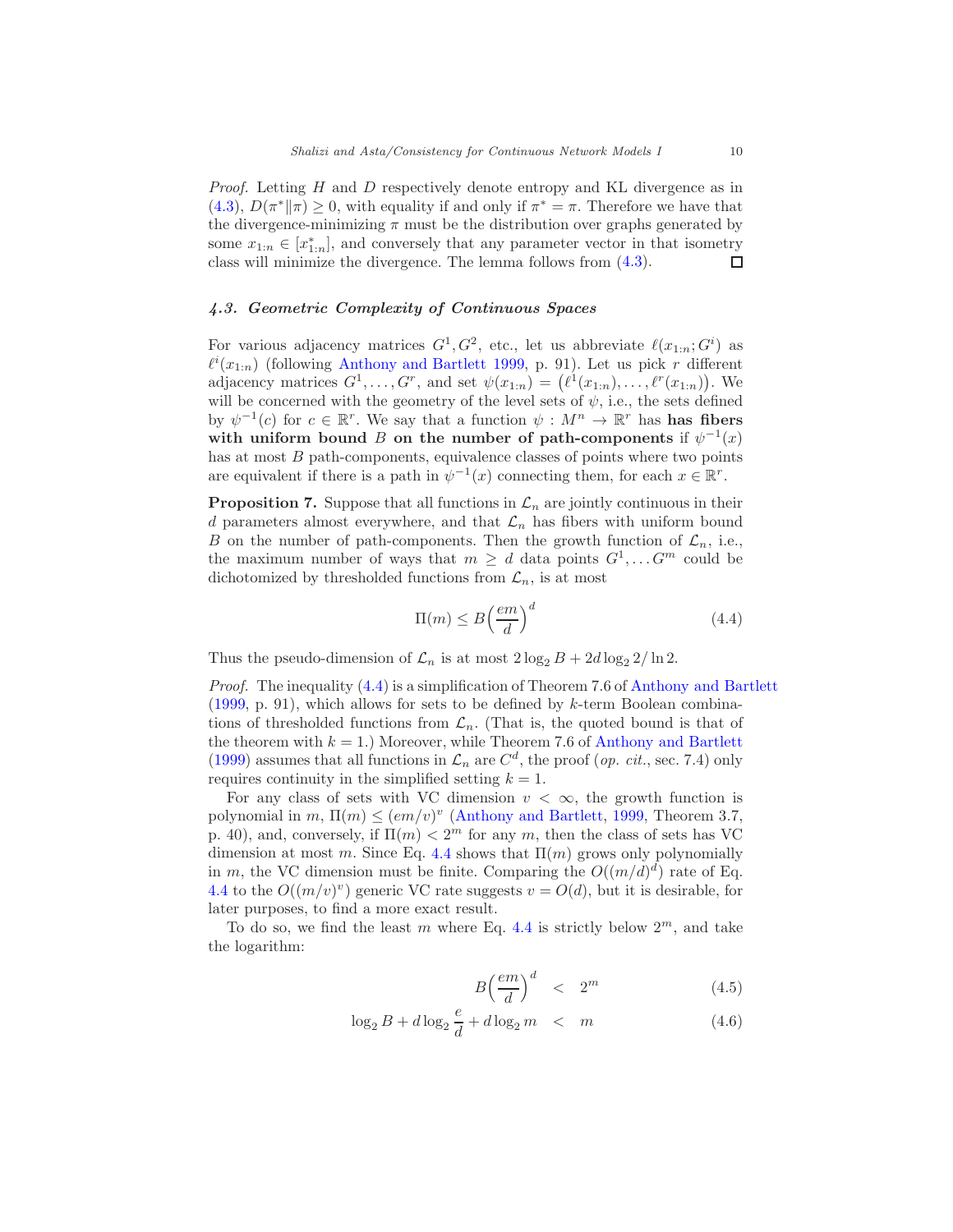Proof. Letting H and D respectively denote entropy and KL divergence as in [\(4.3\)](#page-8-2),  $D(\pi^*||\pi) \ge 0$ , with equality if and only if  $\pi^* = \pi$ . Therefore we have that the divergence-minimizing  $\pi$  must be the distribution over graphs generated by some  $x_{1:n} \in [x_{1:n}^*]$ , and conversely that any parameter vector in that isometry class will minimize the divergence. The lemma follows from [\(4.3\)](#page-8-2).  $\Box$ 

## <span id="page-9-1"></span>4.3. Geometric Complexity of Continuous Spaces

For various adjacency matrices  $G^1, G^2$ , etc., let us abbreviate  $\ell(x_{1:n}; G^i)$  as  $\ell^{i}(x_{1:n})$  (following [Anthony and Bartlett 1999,](#page-15-4) p. 91). Let us pick r different adjacency matrices  $G^1, \ldots, G^r$ , and set  $\psi(x_{1:n}) = (\ell^1(x_{1:n}), \ldots, \ell^r(x_{1:n}))$ . We will be concerned with the geometry of the level sets of  $\psi$ , i.e., the sets defined by  $\psi^{-1}(c)$  for  $c \in \mathbb{R}^r$ . We say that a function  $\psi : M^n \to \mathbb{R}^r$  has **has fibers** with uniform bound B on the number of path-components if  $\psi^{-1}(x)$ has at most  $B$  path-components, equivalence classes of points where two points are equivalent if there is a path in  $\psi^{-1}(x)$  connecting them, for each  $x \in \mathbb{R}^r$ .

**Proposition 7.** Suppose that all functions in  $\mathcal{L}_n$  are jointly continuous in their d parameters almost everywhere, and that  $\mathcal{L}_n$  has fibers with uniform bound B on the number of path-components. Then the growth function of  $\mathcal{L}_n$ , i.e., the maximum number of ways that  $m \geq d$  data points  $G^1, \ldots, G^m$  could be dichotomized by thresholded functions from  $\mathcal{L}_n$ , is at most

<span id="page-9-0"></span>
$$
\Pi(m) \le B \left(\frac{em}{d}\right)^d \tag{4.4}
$$

Thus the pseudo-dimension of  $\mathcal{L}_n$  is at most  $2 \log_2 B + 2d \log_2 2/\ln 2$ .

Proof. The inequality [\(4.4\)](#page-9-0) is a simplification of Theorem 7.6 of [Anthony and Bartlett](#page-15-4) [\(1999,](#page-15-4) p. 91), which allows for sets to be defined by k-term Boolean combinations of thresholded functions from  $\mathcal{L}_n$ . (That is, the quoted bound is that of the theorem with  $k = 1$ .) Moreover, while Theorem 7.6 of [Anthony and Bartlett](#page-15-4) [\(1999\)](#page-15-4) assumes that all functions in  $\mathcal{L}_n$  are  $C^d$ , the proof (*op. cit.*, sec. 7.4) only requires continuity in the simplified setting  $k = 1$ .

For any class of sets with VC dimension  $v < \infty$ , the growth function is polynomial in  $m, \Pi(m) \leq (em/v)^{v}$  [\(Anthony and Bartlett,](#page-15-4) [1999,](#page-15-4) Theorem 3.7, p. 40), and, conversely, if  $\Pi(m) < 2<sup>m</sup>$  for any m, then the class of sets has VC dimension at most m. Since Eq. [4.4](#page-9-0) shows that  $\Pi(m)$  grows only polynomially in m, the VC dimension must be finite. Comparing the  $O((m/d)^d)$  rate of Eq. [4.4](#page-9-0) to the  $O((m/v)^v)$  generic VC rate suggests  $v = O(d)$ , but it is desirable, for later purposes, to find a more exact result.

To do so, we find the least m where Eq. [4.4](#page-9-0) is strictly below  $2^m$ , and take the logarithm:

$$
B\left(\frac{em}{d}\right)^d < 2^m \tag{4.5}
$$

$$
\log_2 B + d \log_2 \frac{e}{d} + d \log_2 m \quad < \quad m \tag{4.6}
$$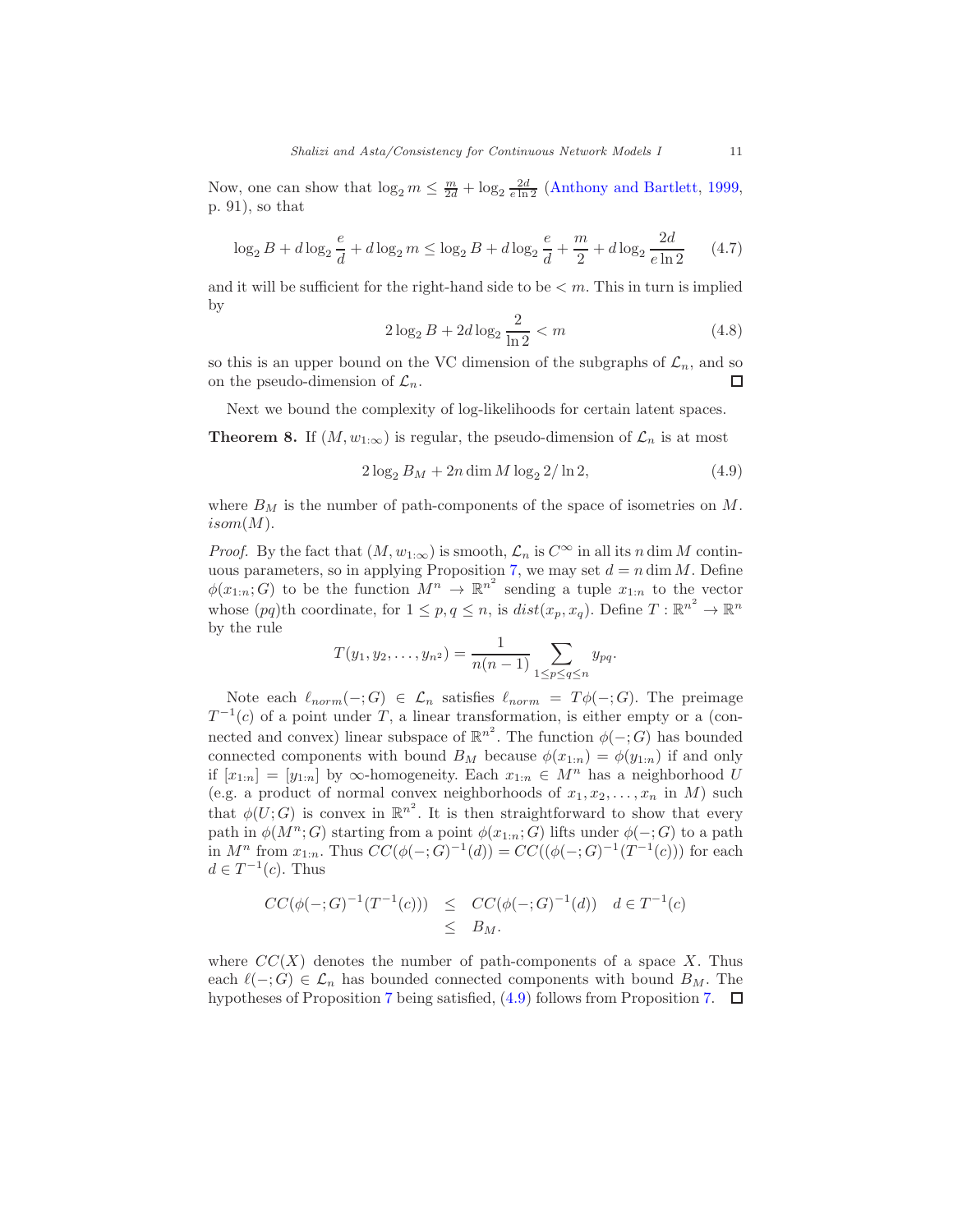Now, one can show that  $\log_2 m \leq \frac{m}{2d} + \log_2 \frac{2d}{e \ln 2}$  [\(Anthony and Bartlett,](#page-15-4) [1999,](#page-15-4) p. 91), so that

$$
\log_2 B + d \log_2 \frac{e}{d} + d \log_2 m \le \log_2 B + d \log_2 \frac{e}{d} + \frac{m}{2} + d \log_2 \frac{2d}{e \ln 2} \tag{4.7}
$$

and it will be sufficient for the right-hand side to be  $\lt m$ . This in turn is implied by

<span id="page-10-0"></span>
$$
2\log_2 B + 2d\log_2 \frac{2}{\ln 2} < m \tag{4.8}
$$

so this is an upper bound on the VC dimension of the subgraphs of  $\mathcal{L}_n$ , and so on the pseudo-dimension of  $\mathcal{L}_n$ .

Next we bound the complexity of log-likelihoods for certain latent spaces.

**Theorem 8.** If  $(M, w_{1:\infty})$  is regular, the pseudo-dimension of  $\mathcal{L}_n$  is at most

$$
2\log_2 B_M + 2n\dim M \log_2 2/\ln 2, \tag{4.9}
$$

where  $B_M$  is the number of path-components of the space of isometries on  $M$ .  $isom(M).$ 

*Proof.* By the fact that  $(M, w_{1:\infty})$  is smooth,  $\mathcal{L}_n$  is  $C^{\infty}$  in all its n dim M contin-uous parameters, so in applying Proposition [7,](#page-9-0) we may set  $d = n \dim M$ . Define  $\phi(x_{1:n};G)$  to be the function  $M^n \to \mathbb{R}^{n^2}$  sending a tuple  $x_{1:n}$  to the vector whose  $(pq)$ th coordinate, for  $1 \leq p, q \leq n$ , is  $dist(x_p, x_q)$ . Define  $T : \mathbb{R}^{n^2} \to \mathbb{R}^n$ by the rule

$$
T(y_1, y_2, \dots, y_{n^2}) = \frac{1}{n(n-1)} \sum_{1 \le p \le q \le n} y_{pq}.
$$

Note each  $\ell_{norm}(-;G) \in \mathcal{L}_n$  satisfies  $\ell_{norm} = T\phi(-;G)$ . The preimage  $T^{-1}(c)$  of a point under T, a linear transformation, is either empty or a (connected and convex) linear subspace of  $\mathbb{R}^{n^2}$ . The function  $\phi(-;G)$  has bounded connected components with bound  $B_M$  because  $\phi(x_{1:n}) = \phi(y_{1:n})$  if and only if  $[x_{1:n}] = [y_{1:n}]$  by  $\infty$ -homogeneity. Each  $x_{1:n} \in M^n$  has a neighborhood U (e.g. a product of normal convex neighborhoods of  $x_1, x_2, \ldots, x_n$  in M) such that  $\phi(U;G)$  is convex in  $\mathbb{R}^{n^2}$ . It is then straightforward to show that every path in  $\phi(M^n; G)$  starting from a point  $\phi(x_{1:n}; G)$  lifts under  $\phi(-; G)$  to a path in  $M^n$  from  $x_{1:n}$ . Thus  $CC(\phi(-;G)^{-1}(d)) = CC((\phi(-;G)^{-1}(T^{-1}(c)))$  for each  $d \in T^{-1}(c)$ . Thus

$$
CC(\phi(-;G)^{-1}(T^{-1}(c))) \leq CC(\phi(-;G)^{-1}(d)) d \in T^{-1}(c)
$$
  

$$
\leq B_M.
$$

where  $CC(X)$  denotes the number of path-components of a space X. Thus each  $\ell(-;G) \in \mathcal{L}_n$  has bounded connected components with bound  $B_M$ . The hypotheses of Proposition [7](#page-9-0) being satisfied,  $(4.9)$  follows from Proposition [7.](#page-9-0)  $\Box$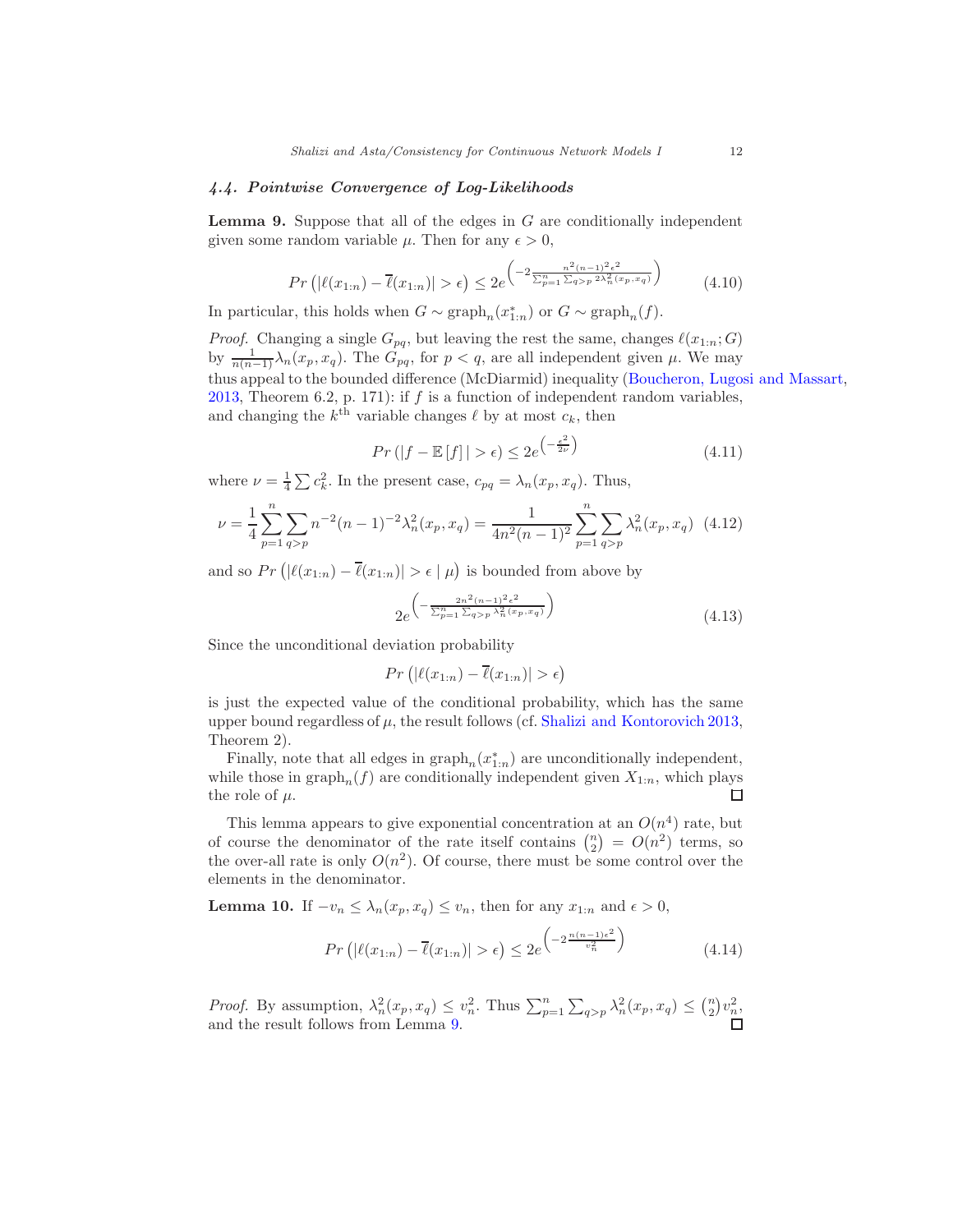#### 4.4. Pointwise Convergence of Log-Likelihoods

**Lemma 9.** Suppose that all of the edges in  $G$  are conditionally independent given some random variable  $\mu$ . Then for any  $\epsilon > 0$ ,

<span id="page-11-0"></span>
$$
Pr\left(|\ell(x_{1:n}) - \overline{\ell}(x_{1:n})| > \epsilon\right) \le 2e^{\left(-2\frac{n^2(n-1)^2\epsilon^2}{\sum_{p=1}^n \sum_{q>p} 2\lambda_n^2(x_p, x_q)}\right)}\tag{4.10}
$$

In particular, this holds when  $G \sim \text{graph}_n(x_{1:n}^*)$  or  $G \sim \text{graph}_n(f)$ .

*Proof.* Changing a single  $G_{pq}$ , but leaving the rest the same, changes  $\ell(x_{1:n};G)$ by  $\frac{1}{n(n-1)}\lambda_n(x_p, x_q)$ . The  $G_{pq}$ , for  $p < q$ , are all independent given  $\mu$ . We may thus appeal to the bounded difference (McDiarmid) inequality [\(Boucheron, Lugosi and Massart,](#page-15-7) [2013,](#page-15-7) Theorem 6.2, p. 171): if  $f$  is a function of independent random variables, and changing the  $k^{\text{th}}$  variable changes  $\ell$  by at most  $c_k$ , then

$$
Pr\left(|f - \mathbb{E}\left[f\right]| > \epsilon\right) \le 2e^{\left(-\frac{\epsilon^2}{2\nu}\right)}\tag{4.11}
$$

where  $\nu = \frac{1}{4} \sum c_k^2$ . In the present case,  $c_{pq} = \lambda_n(x_p, x_q)$ . Thus,

$$
\nu = \frac{1}{4} \sum_{p=1}^{n} \sum_{q>p} n^{-2} (n-1)^{-2} \lambda_n^2(x_p, x_q) = \frac{1}{4n^2(n-1)^2} \sum_{p=1}^{n} \sum_{q>p} \lambda_n^2(x_p, x_q) \tag{4.12}
$$

and so  $Pr(|\ell(x_{1:n}) - \overline{\ell}(x_{1:n})| > \epsilon | \mu)$  is bounded from above by

$$
2e^{\left(-\frac{2n^2(n-1)^2\epsilon^2}{\sum_{p=1}^n\sum_{q>p}\lambda_n^2(x_p,x_q)}\right)}\tag{4.13}
$$

Since the unconditional deviation probability

$$
Pr(|\ell(x_{1:n}) - \overline{\ell}(x_{1:n})| > \epsilon)
$$

is just the expected value of the conditional probability, which has the same upper bound regardless of  $\mu$ , the result follows (cf. [Shalizi and Kontorovich 2013,](#page-16-8) Theorem 2).

Finally, note that all edges in  $\text{graph}_n(x_{1:n}^*)$  are unconditionally independent, while those in  $\text{graph}_n(f)$  are conditionally independent given  $X_{1:n}$ , which plays the role of  $\mu$ .  $\Box$ 

This lemma appears to give exponential concentration at an  $O(n^4)$  rate, but of course the denominator of the rate itself contains  $\binom{n}{2} = O(n^2)$  terms, so the over-all rate is only  $O(n^2)$ . Of course, there must be some control over the elements in the denominator.

**Lemma 10.** If  $-v_n \leq \lambda_n(x_p, x_q) \leq v_n$ , then for any  $x_{1:n}$  and  $\epsilon > 0$ ,

<span id="page-11-1"></span>
$$
Pr(|\ell(x_{1:n}) - \overline{\ell}(x_{1:n})| > \epsilon) \le 2e^{-\frac{n(n-1)\epsilon^2}{v_n^2}} \tag{4.14}
$$

*Proof.* By assumption,  $\lambda_n^2(x_p, x_q) \leq v_n^2$ . Thus  $\sum_{p=1}^n \sum_{q>p} \lambda_n^2(x_p, x_q) \leq {n \choose 2} v_n^2$ , and the result follows from Lemma [9.](#page-11-0)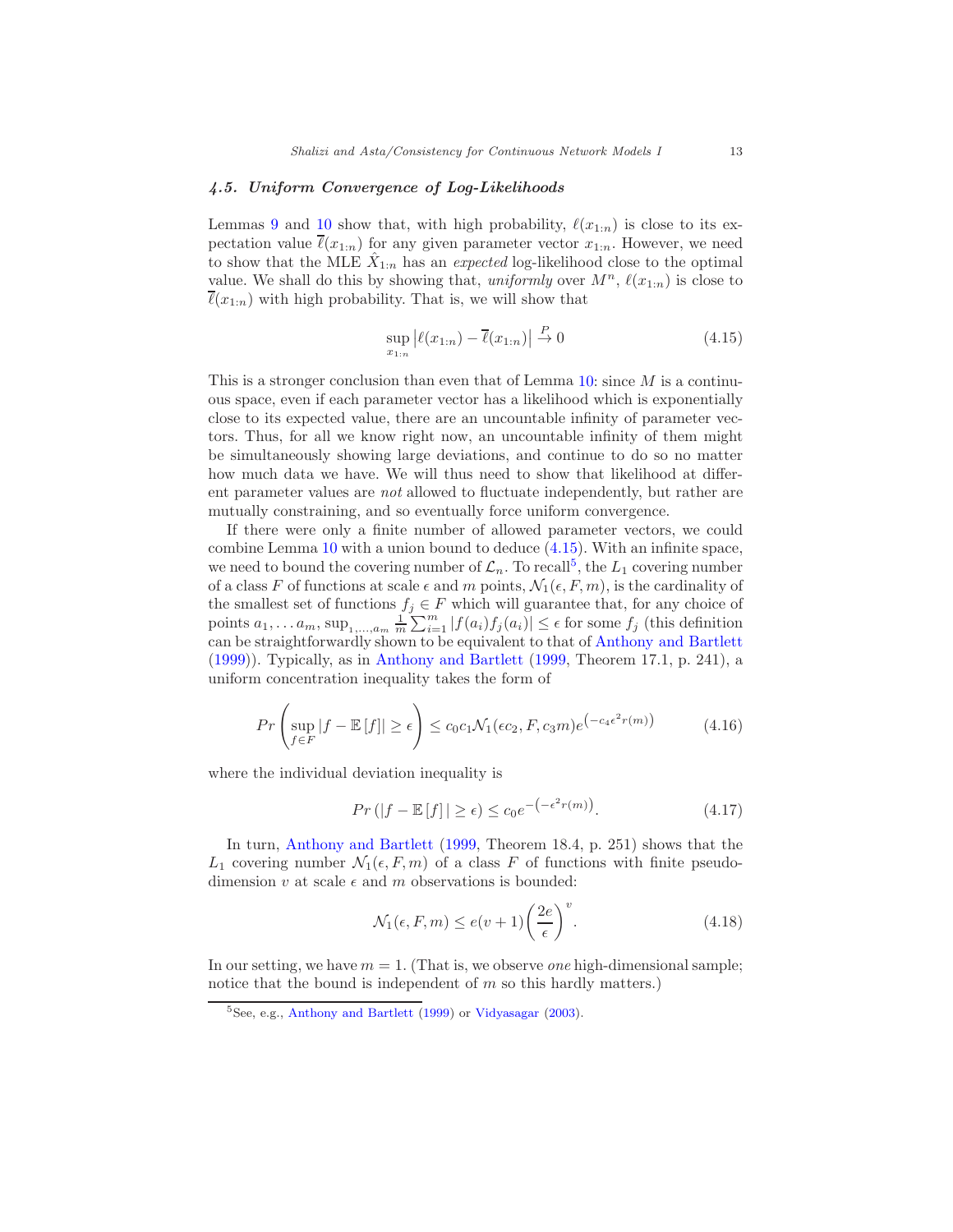## 4.5. Uniform Convergence of Log-Likelihoods

Lemmas [9](#page-11-0) and [10](#page-11-1) show that, with high probability,  $\ell(x_{1:n})$  is close to its expectation value  $\overline{\ell}(x_{1:n})$  for any given parameter vector  $x_{1:n}$ . However, we need to show that the MLE  $\hat{X}_{1:n}$  has an expected log-likelihood close to the optimal value. We shall do this by showing that, uniformly over  $M^n$ ,  $\ell(x_{1:n})$  is close to  $\ell(x_{1:n})$  with high probability. That is, we will show that

<span id="page-12-0"></span>
$$
\sup_{x_{1:n}} |\ell(x_{1:n}) - \overline{\ell}(x_{1:n})| \stackrel{P}{\to} 0 \tag{4.15}
$$

This is a stronger conclusion than even that of Lemma  $10$ : since M is a continuous space, even if each parameter vector has a likelihood which is exponentially close to its expected value, there are an uncountable infinity of parameter vectors. Thus, for all we know right now, an uncountable infinity of them might be simultaneously showing large deviations, and continue to do so no matter how much data we have. We will thus need to show that likelihood at different parameter values are not allowed to fluctuate independently, but rather are mutually constraining, and so eventually force uniform convergence.

If there were only a finite number of allowed parameter vectors, we could combine Lemma [10](#page-11-1) with a union bound to deduce [\(4.15\)](#page-12-0). With an infinite space, we need to bound the covering number of  $\mathcal{L}_n$ . To recall<sup>[5](#page-12-1)</sup>, the  $L_1$  covering number of a class F of functions at scale  $\epsilon$  and m points,  $\mathcal{N}_1(\epsilon, F, m)$ , is the cardinality of the smallest set of functions  $f_j \in F$  which will guarantee that, for any choice of points  $a_1, \ldots a_m$ ,  $\sup_{1, \ldots, a_m} \frac{1}{m} \sum_{i=1}^m |f(a_i)f_j(a_i)| \leq \epsilon$  for some  $f_j$  (this definition can be straightforwardly shown to be equivalent to that of [Anthony and Bartlett](#page-15-4) [\(1999\)](#page-15-4)). Typically, as in [Anthony and Bartlett](#page-15-4) [\(1999,](#page-15-4) Theorem 17.1, p. 241), a uniform concentration inequality takes the form of

$$
Pr\left(\sup_{f \in F} |f - \mathbb{E}[f]| \ge \epsilon\right) \le c_0 c_1 \mathcal{N}_1(\epsilon c_2, F, c_3 m) e^{\left(-c_4 \epsilon^2 r(m)\right)} \tag{4.16}
$$

where the individual deviation inequality is

$$
Pr(|f - \mathbb{E}[f]| \ge \epsilon) \le c_0 e^{-\left(-\epsilon^2 r(m)\right)}.
$$
\n(4.17)

In turn, [Anthony and Bartlett](#page-15-4) [\(1999](#page-15-4), Theorem 18.4, p. 251) shows that the  $L_1$  covering number  $\mathcal{N}_1(\epsilon, F, m)$  of a class F of functions with finite pseudodimension v at scale  $\epsilon$  and m observations is bounded:

$$
\mathcal{N}_1(\epsilon, F, m) \le e(v+1) \left(\frac{2e}{\epsilon}\right)^v.
$$
\n(4.18)

In our setting, we have  $m = 1$ . (That is, we observe *one* high-dimensional sample; notice that the bound is independent of  $m$  so this hardly matters.)

<span id="page-12-1"></span><sup>5</sup>See, e.g., [Anthony and Bartlett](#page-15-4) [\(1999\)](#page-15-4) or [Vidyasagar](#page-16-9) [\(2003\)](#page-16-9).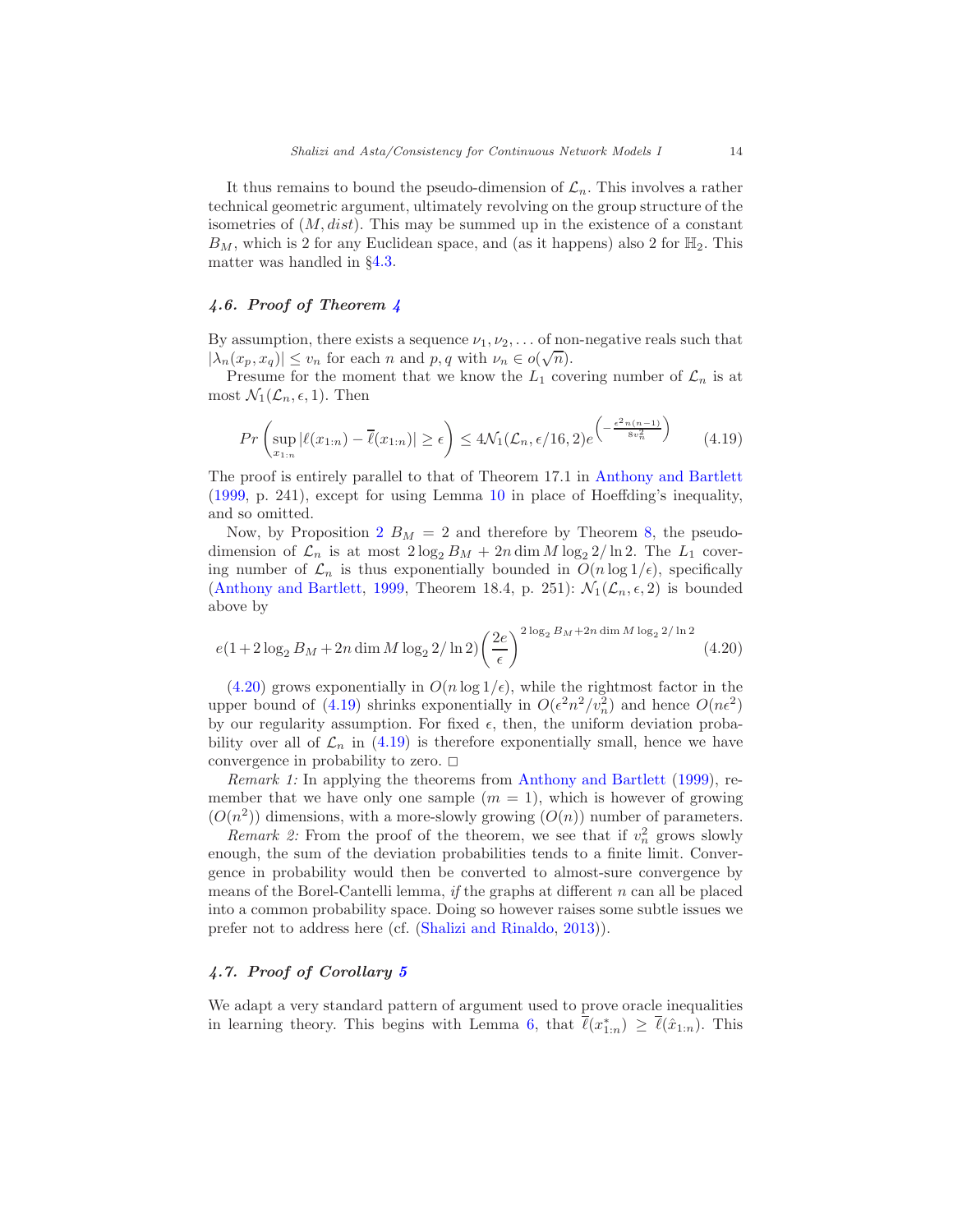It thus remains to bound the pseudo-dimension of  $\mathcal{L}_n$ . This involves a rather technical geometric argument, ultimately revolving on the group structure of the isometries of  $(M, dist)$ . This may be summed up in the existence of a constant  $B_M$ , which is 2 for any Euclidean space, and (as it happens) also 2 for  $\mathbb{H}_2$ . This matter was handled in §[4.3.](#page-9-1)

# 4.6. Proof of Theorem [4](#page-7-0)

By assumption, there exists a sequence  $\nu_1, \nu_2, \ldots$  of non-negative reals such that  $|\lambda_n(x_p, x_q)| \le v_n$  for each n and p, q with  $\nu_n \in o(\sqrt{n}).$ 

Presume for the moment that we know the  $L_1$  covering number of  $\mathcal{L}_n$  is at most  $\mathcal{N}_1(\mathcal{L}_n, \epsilon, 1)$ . Then

<span id="page-13-1"></span>
$$
Pr\left(\sup_{x_{1:n}}|\ell(x_{1:n}) - \overline{\ell}(x_{1:n})| \ge \epsilon\right) \le 4\mathcal{N}_1(\mathcal{L}_n, \epsilon/16, 2)e^{-\frac{\epsilon^2 n(n-1)}{8v_n^2}}\right) \tag{4.19}
$$

The proof is entirely parallel to that of Theorem 17.1 in [Anthony and Bartlett](#page-15-4) [\(1999,](#page-15-4) p. 241), except for using Lemma [10](#page-11-1) in place of Hoeffding's inequality, and so omitted.

Now, by Proposition [2](#page-5-3)  $B_M = 2$  and therefore by Theorem [8,](#page-10-0) the pseudodimension of  $\mathcal{L}_n$  is at most  $2 \log_2 B_M + 2n \dim M \log_2 2/\ln 2$ . The  $L_1$  covering number of  $\mathcal{L}_n$  is thus exponentially bounded in  $O(n \log 1/\epsilon)$ , specifically [\(Anthony and Bartlett,](#page-15-4) [1999,](#page-15-4) Theorem 18.4, p. 251):  $\mathcal{N}_1(\mathcal{L}_n, \epsilon, 2)$  is bounded above by

<span id="page-13-0"></span>
$$
e(1+2\log_2 B_M + 2n\dim M \log_2 2/\ln 2) \left(\frac{2e}{\epsilon}\right)^{2\log_2 B_M + 2n\dim M \log_2 2/\ln 2} (4.20)
$$

[\(4.20\)](#page-13-0) grows exponentially in  $O(n \log 1/\epsilon)$ , while the rightmost factor in the upper bound of [\(4.19\)](#page-13-1) shrinks exponentially in  $O(\epsilon^2 n^2/v_n^2)$  and hence  $O(n\epsilon^2)$ by our regularity assumption. For fixed  $\epsilon$ , then, the uniform deviation probability over all of  $\mathcal{L}_n$  in [\(4.19\)](#page-13-1) is therefore exponentially small, hence we have convergence in probability to zero.  $\square$ 

Remark 1: In applying the theorems from [Anthony and Bartlett](#page-15-4) [\(1999\)](#page-15-4), remember that we have only one sample  $(m = 1)$ , which is however of growing  $(O(n^2))$  dimensions, with a more-slowly growing  $(O(n))$  number of parameters.

*Remark 2:* From the proof of the theorem, we see that if  $v_n^2$  grows slowly enough, the sum of the deviation probabilities tends to a finite limit. Convergence in probability would then be converted to almost-sure convergence by means of the Borel-Cantelli lemma, if the graphs at different  $n$  can all be placed into a common probability space. Doing so however raises some subtle issues we prefer not to address here (cf. [\(Shalizi and Rinaldo](#page-16-10), [2013](#page-16-10))).

# 4.7. Proof of Corollary [5](#page-7-2)

We adapt a very standard pattern of argument used to prove oracle inequalities in learning theory. This begins with Lemma [6,](#page-8-1) that  $\overline{\ell}(x_{1:n}^*) \geq \overline{\ell}(\hat{x}_{1:n})$ . This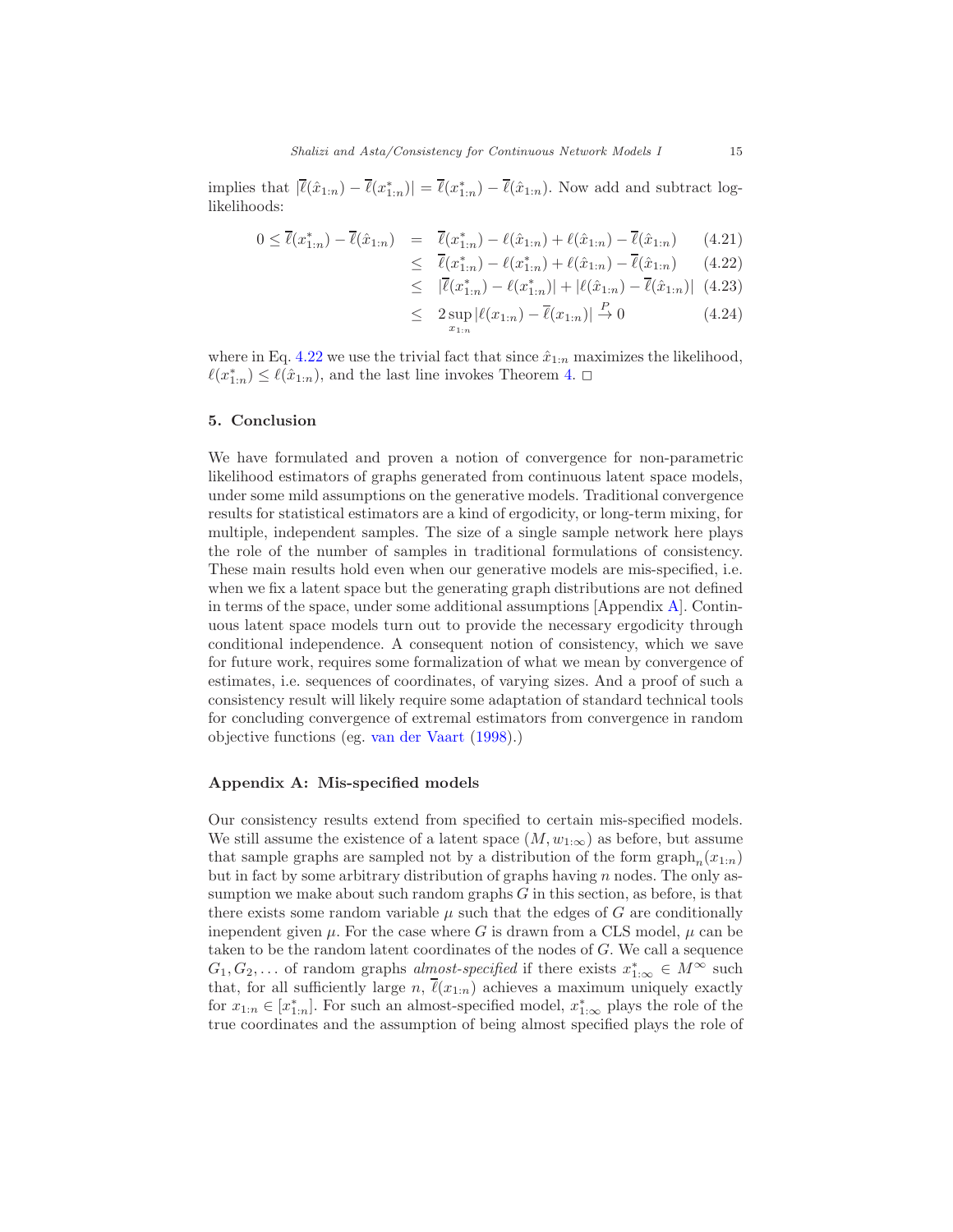implies that  $|\bar{\ell}(\hat{x}_{1:n}) - \bar{\ell}(x_{1:n}^*)| = \bar{\ell}(x_{1:n}^*) - \bar{\ell}(\hat{x}_{1:n}).$  Now add and subtract loglikelihoods:

<span id="page-14-0"></span>
$$
0 \le \overline{\ell}(x_{1:n}^*) - \overline{\ell}(\hat{x}_{1:n}) = \overline{\ell}(x_{1:n}^*) - \ell(\hat{x}_{1:n}) + \ell(\hat{x}_{1:n}) - \overline{\ell}(\hat{x}_{1:n}) \qquad (4.21)
$$

$$
\leq \overline{\ell}(x_{1:n}^*) - \ell(x_{1:n}^*) + \ell(\hat{x}_{1:n}) - \overline{\ell}(\hat{x}_{1:n}) \qquad (4.22)
$$
  

$$
\leq |\overline{\ell}(x_{1:n}^*) - \ell(x_{1:n}^*)| + |\ell(\hat{x}_{1:n}) - \overline{\ell}(\hat{x}_{1:n})| \qquad (4.23)
$$

$$
\leq \quad |\overline{\ell}(x_{1:n}^*) - \ell(x_{1:n}^*)| + |\ell(\hat{x}_{1:n}) - \overline{\ell}(\hat{x}_{1:n})| \tag{4.23}
$$

$$
\leq 2 \sup_{x_{1:n}} |\ell(x_{1:n}) - \overline{\ell}(x_{1:n})| \stackrel{P}{\to} 0 \tag{4.24}
$$

where in Eq. [4.22](#page-14-0) we use the trivial fact that since  $\hat{x}_{1:n}$  maximizes the likelihood,  $\ell(x_{1:n}^*) \leq \ell(\hat{x}_{1:n})$ , and the last line invokes Theorem [4.](#page-7-0)  $\Box$ 

## 5. Conclusion

We have formulated and proven a notion of convergence for non-parametric likelihood estimators of graphs generated from continuous latent space models, under some mild assumptions on the generative models. Traditional convergence results for statistical estimators are a kind of ergodicity, or long-term mixing, for multiple, independent samples. The size of a single sample network here plays the role of the number of samples in traditional formulations of consistency. These main results hold even when our generative models are mis-specified, i.e. when we fix a latent space but the generating graph distributions are not defined in terms of the space, under some additional assumptions [Appendix [A\]](#page-14-1). Continuous latent space models turn out to provide the necessary ergodicity through conditional independence. A consequent notion of consistency, which we save for future work, requires some formalization of what we mean by convergence of estimates, i.e. sequences of coordinates, of varying sizes. And a proof of such a consistency result will likely require some adaptation of standard technical tools for concluding convergence of extremal estimators from convergence in random objective functions (eg. [van der Vaart](#page-16-11) [\(1998\)](#page-16-11).)

#### <span id="page-14-1"></span>Appendix A: Mis-specified models

Our consistency results extend from specified to certain mis-specified models. We still assume the existence of a latent space  $(M, w_{1:\infty})$  as before, but assume that sample graphs are sampled not by a distribution of the form  $\text{graph}_n(x_{1:n})$ but in fact by some arbitrary distribution of graphs having  $n$  nodes. The only assumption we make about such random graphs G in this section, as before, is that there exists some random variable  $\mu$  such that the edges of G are conditionally inependent given  $\mu$ . For the case where G is drawn from a CLS model,  $\mu$  can be taken to be the random latent coordinates of the nodes of G. We call a sequence  $G_1, G_2, \ldots$  of random graphs almost-specified if there exists  $x_{1,\infty}^* \in M^\infty$  such that, for all sufficiently large n,  $\overline{\ell}(x_{1:n})$  achieves a maximum uniquely exactly for  $x_{1:n} \in [x_{1:n}^*]$ . For such an almost-specified model,  $x_{1:\infty}^*$  plays the role of the true coordinates and the assumption of being almost specified plays the role of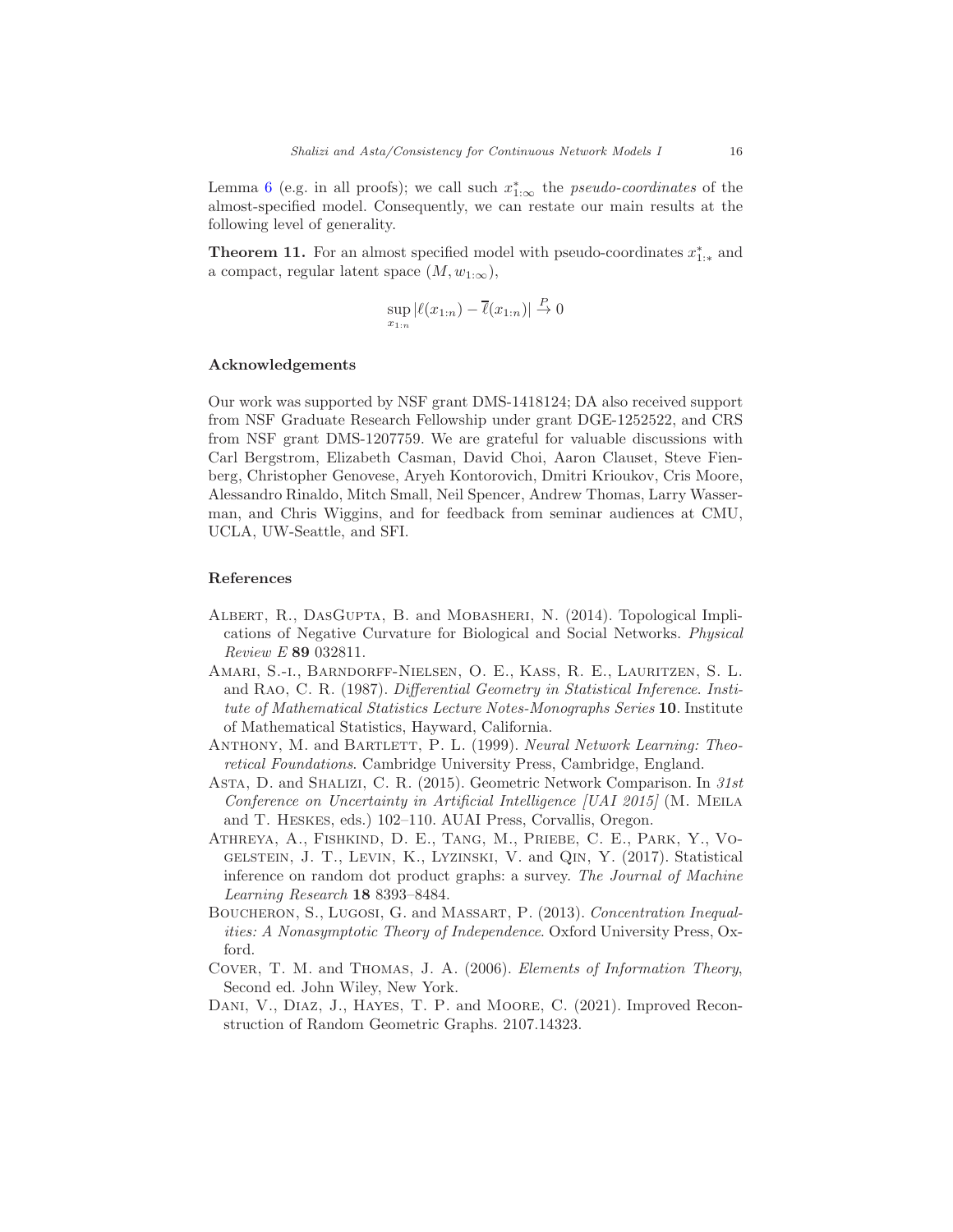Lemma [6](#page-8-1) (e.g. in all proofs); we call such  $x_{1,\infty}^*$  the *pseudo-coordinates* of the almost-specified model. Consequently, we can restate our main results at the following level of generality.

**Theorem 11.** For an almost specified model with pseudo-coordinates  $x_{1,*}^*$  and a compact, regular latent space  $(M, w_{1:\infty}),$ 

$$
\sup_{x_{1:n}} |\ell(x_{1:n}) - \overline{\ell}(x_{1:n})| \overset{P}{\to} 0
$$

#### Acknowledgements

Our work was supported by NSF grant DMS-1418124; DA also received support from NSF Graduate Research Fellowship under grant DGE-1252522, and CRS from NSF grant DMS-1207759. We are grateful for valuable discussions with Carl Bergstrom, Elizabeth Casman, David Choi, Aaron Clauset, Steve Fienberg, Christopher Genovese, Aryeh Kontorovich, Dmitri Krioukov, Cris Moore, Alessandro Rinaldo, Mitch Small, Neil Spencer, Andrew Thomas, Larry Wasserman, and Chris Wiggins, and for feedback from seminar audiences at CMU, UCLA, UW-Seattle, and SFI.

#### References

- <span id="page-15-1"></span>ALBERT, R., DASGUPTA, B. and MOBASHERI, N. (2014). Topological Implications of Negative Curvature for Biological and Social Networks. Physical Review E 89 032811.
- <span id="page-15-6"></span>Amari, S.-i., Barndorff-Nielsen, O. E., Kass, R. E., Lauritzen, S. L. and Rao, C. R. (1987). Differential Geometry in Statistical Inference. Institute of Mathematical Statistics Lecture Notes-Monographs Series 10. Institute of Mathematical Statistics, Hayward, California.
- <span id="page-15-4"></span>ANTHONY, M. and BARTLETT, P. L. (1999). Neural Network Learning: Theoretical Foundations. Cambridge University Press, Cambridge, England.
- <span id="page-15-0"></span>ASTA, D. and SHALIZI, C. R. (2015). Geometric Network Comparison. In 31st Conference on Uncertainty in Artificial Intelligence [UAI 2015] (M. Meila and T. Heskes, eds.) 102–110. AUAI Press, Corvallis, Oregon.
- <span id="page-15-3"></span>Athreya, A., Fishkind, D. E., Tang, M., Priebe, C. E., Park, Y., Vogelstein, J. T., Levin, K., Lyzinski, V. and Qin, Y. (2017). Statistical inference on random dot product graphs: a survey. The Journal of Machine Learning Research 18 8393–8484.
- <span id="page-15-7"></span>Boucheron, S., Lugosi, G. and Massart, P. (2013). Concentration Inequalities: A Nonasymptotic Theory of Independence. Oxford University Press, Oxford.
- <span id="page-15-5"></span>Cover, T. M. and Thomas, J. A. (2006). Elements of Information Theory, Second ed. John Wiley, New York.
- <span id="page-15-2"></span>DANI, V., DIAZ, J., HAYES, T. P. and MOORE, C. (2021). Improved Reconstruction of Random Geometric Graphs. 2107.14323.